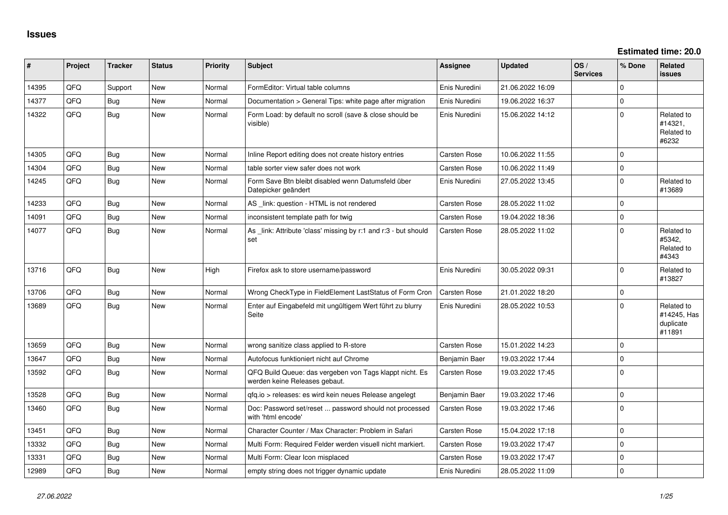**Estimated time: 20.0**

| #     | Project | <b>Tracker</b> | <b>Status</b> | <b>Priority</b> | <b>Subject</b>                                                                           | Assignee            | <b>Updated</b>   | OS/<br><b>Services</b> | % Done      | Related<br><b>issues</b>                         |
|-------|---------|----------------|---------------|-----------------|------------------------------------------------------------------------------------------|---------------------|------------------|------------------------|-------------|--------------------------------------------------|
| 14395 | QFQ     | Support        | <b>New</b>    | Normal          | FormEditor: Virtual table columns                                                        | Enis Nuredini       | 21.06.2022 16:09 |                        | $\Omega$    |                                                  |
| 14377 | QFQ     | Bug            | <b>New</b>    | Normal          | Documentation > General Tips: white page after migration                                 | Enis Nuredini       | 19.06.2022 16:37 |                        | $\mathbf 0$ |                                                  |
| 14322 | QFQ     | Bug            | New           | Normal          | Form Load: by default no scroll (save & close should be<br>visible)                      | Enis Nuredini       | 15.06.2022 14:12 |                        | $\Omega$    | Related to<br>#14321.<br>Related to<br>#6232     |
| 14305 | QFQ     | Bug            | <b>New</b>    | Normal          | Inline Report editing does not create history entries                                    | Carsten Rose        | 10.06.2022 11:55 |                        | $\Omega$    |                                                  |
| 14304 | QFQ     | Bug            | New           | Normal          | table sorter view safer does not work                                                    | <b>Carsten Rose</b> | 10.06.2022 11:49 |                        | $\mathbf 0$ |                                                  |
| 14245 | QFQ     | <b>Bug</b>     | <b>New</b>    | Normal          | Form Save Btn bleibt disabled wenn Datumsfeld über<br>Datepicker geändert                | Enis Nuredini       | 27.05.2022 13:45 |                        | $\Omega$    | Related to<br>#13689                             |
| 14233 | QFQ     | Bug            | <b>New</b>    | Normal          | AS _link: question - HTML is not rendered                                                | Carsten Rose        | 28.05.2022 11:02 |                        | $\Omega$    |                                                  |
| 14091 | QFQ     | Bug            | New           | Normal          | inconsistent template path for twig                                                      | <b>Carsten Rose</b> | 19.04.2022 18:36 |                        | $\mathbf 0$ |                                                  |
| 14077 | QFQ     | Bug            | <b>New</b>    | Normal          | As link: Attribute 'class' missing by r:1 and r:3 - but should<br>set                    | Carsten Rose        | 28.05.2022 11:02 |                        | $\Omega$    | Related to<br>#5342,<br>Related to<br>#4343      |
| 13716 | QFQ     | Bug            | New           | High            | Firefox ask to store username/password                                                   | Enis Nuredini       | 30.05.2022 09:31 |                        | $\Omega$    | Related to<br>#13827                             |
| 13706 | QFQ     | Bug            | <b>New</b>    | Normal          | Wrong CheckType in FieldElement LastStatus of Form Cron                                  | <b>Carsten Rose</b> | 21.01.2022 18:20 |                        | $\mathbf 0$ |                                                  |
| 13689 | QFQ     | Bug            | New           | Normal          | Enter auf Eingabefeld mit ungültigem Wert führt zu blurry<br>Seite                       | Enis Nuredini       | 28.05.2022 10:53 |                        | $\Omega$    | Related to<br>#14245, Has<br>duplicate<br>#11891 |
| 13659 | QFQ     | Bug            | <b>New</b>    | Normal          | wrong sanitize class applied to R-store                                                  | Carsten Rose        | 15.01.2022 14:23 |                        | $\Omega$    |                                                  |
| 13647 | QFQ     | Bug            | <b>New</b>    | Normal          | Autofocus funktioniert nicht auf Chrome                                                  | Benjamin Baer       | 19.03.2022 17:44 |                        | $\Omega$    |                                                  |
| 13592 | QFQ     | Bug            | New           | Normal          | QFQ Build Queue: das vergeben von Tags klappt nicht. Es<br>werden keine Releases gebaut. | <b>Carsten Rose</b> | 19.03.2022 17:45 |                        | $\Omega$    |                                                  |
| 13528 | QFQ     | Bug            | <b>New</b>    | Normal          | qfq.io > releases: es wird kein neues Release angelegt                                   | Benjamin Baer       | 19.03.2022 17:46 |                        | $\mathbf 0$ |                                                  |
| 13460 | QFQ     | Bug            | <b>New</b>    | Normal          | Doc: Password set/reset  password should not processed<br>with 'html encode'             | <b>Carsten Rose</b> | 19.03.2022 17:46 |                        | $\Omega$    |                                                  |
| 13451 | QFQ     | Bug            | <b>New</b>    | Normal          | Character Counter / Max Character: Problem in Safari                                     | <b>Carsten Rose</b> | 15.04.2022 17:18 |                        | $\Omega$    |                                                  |
| 13332 | QFQ     | Bug            | <b>New</b>    | Normal          | Multi Form: Required Felder werden visuell nicht markiert.                               | <b>Carsten Rose</b> | 19.03.2022 17:47 |                        | $\Omega$    |                                                  |
| 13331 | QFQ     | Bug            | <b>New</b>    | Normal          | Multi Form: Clear Icon misplaced                                                         | Carsten Rose        | 19.03.2022 17:47 |                        | $\Omega$    |                                                  |
| 12989 | QFQ     | Bug            | <b>New</b>    | Normal          | empty string does not trigger dynamic update                                             | Enis Nuredini       | 28.05.2022 11:09 |                        | $\Omega$    |                                                  |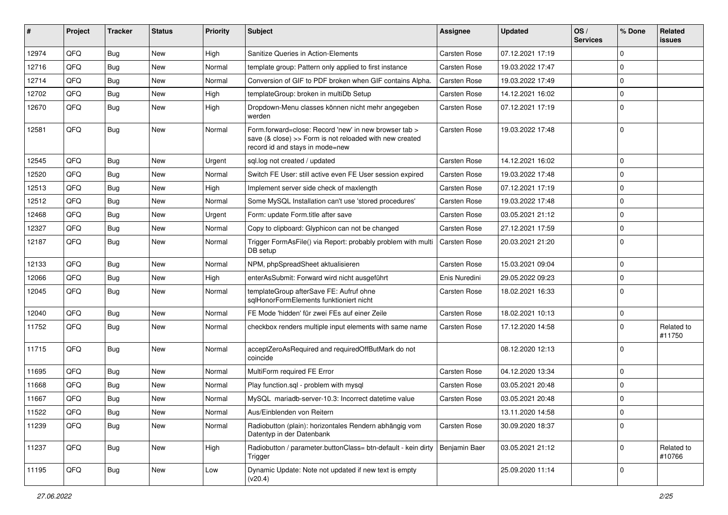| #     | Project | Tracker    | <b>Status</b> | <b>Priority</b> | Subject                                                                                                                                             | <b>Assignee</b>     | <b>Updated</b>   | OS/<br><b>Services</b> | % Done         | Related<br><b>issues</b> |
|-------|---------|------------|---------------|-----------------|-----------------------------------------------------------------------------------------------------------------------------------------------------|---------------------|------------------|------------------------|----------------|--------------------------|
| 12974 | QFQ     | Bug        | <b>New</b>    | High            | Sanitize Queries in Action-Elements                                                                                                                 | Carsten Rose        | 07.12.2021 17:19 |                        | $\mathbf 0$    |                          |
| 12716 | QFQ     | <b>Bug</b> | New           | Normal          | template group: Pattern only applied to first instance                                                                                              | Carsten Rose        | 19.03.2022 17:47 |                        | $\overline{0}$ |                          |
| 12714 | QFQ     | <b>Bug</b> | <b>New</b>    | Normal          | Conversion of GIF to PDF broken when GIF contains Alpha.                                                                                            | Carsten Rose        | 19.03.2022 17:49 |                        | 0              |                          |
| 12702 | QFQ     | <b>Bug</b> | <b>New</b>    | High            | templateGroup: broken in multiDb Setup                                                                                                              | Carsten Rose        | 14.12.2021 16:02 |                        | $\overline{0}$ |                          |
| 12670 | QFQ     | Bug        | New           | High            | Dropdown-Menu classes können nicht mehr angegeben<br>werden                                                                                         | Carsten Rose        | 07.12.2021 17:19 |                        | $\overline{0}$ |                          |
| 12581 | QFQ     | Bug        | New           | Normal          | Form.forward=close: Record 'new' in new browser tab ><br>save (& close) >> Form is not reloaded with new created<br>record id and stays in mode=new | Carsten Rose        | 19.03.2022 17:48 |                        | $\overline{0}$ |                          |
| 12545 | QFQ     | <b>Bug</b> | New           | Urgent          | sql.log not created / updated                                                                                                                       | Carsten Rose        | 14.12.2021 16:02 |                        | $\overline{0}$ |                          |
| 12520 | QFQ     | <b>Bug</b> | <b>New</b>    | Normal          | Switch FE User: still active even FE User session expired                                                                                           | Carsten Rose        | 19.03.2022 17:48 |                        | $\mathbf 0$    |                          |
| 12513 | QFQ     | <b>Bug</b> | <b>New</b>    | High            | Implement server side check of maxlength                                                                                                            | Carsten Rose        | 07.12.2021 17:19 |                        | $\overline{0}$ |                          |
| 12512 | QFQ     | <b>Bug</b> | <b>New</b>    | Normal          | Some MySQL Installation can't use 'stored procedures'                                                                                               | Carsten Rose        | 19.03.2022 17:48 |                        | $\mathbf 0$    |                          |
| 12468 | QFQ     | <b>Bug</b> | <b>New</b>    | Urgent          | Form: update Form.title after save                                                                                                                  | Carsten Rose        | 03.05.2021 21:12 |                        | 0              |                          |
| 12327 | QFQ     | Bug        | New           | Normal          | Copy to clipboard: Glyphicon can not be changed                                                                                                     | Carsten Rose        | 27.12.2021 17:59 |                        | $\overline{0}$ |                          |
| 12187 | QFQ     | Bug        | <b>New</b>    | Normal          | Trigger FormAsFile() via Report: probably problem with multi<br>DB setup                                                                            | <b>Carsten Rose</b> | 20.03.2021 21:20 |                        | $\overline{0}$ |                          |
| 12133 | QFQ     | Bug        | New           | Normal          | NPM, phpSpreadSheet aktualisieren                                                                                                                   | Carsten Rose        | 15.03.2021 09:04 |                        | $\overline{0}$ |                          |
| 12066 | QFQ     | <b>Bug</b> | <b>New</b>    | High            | enterAsSubmit: Forward wird nicht ausgeführt                                                                                                        | Enis Nuredini       | 29.05.2022 09:23 |                        | $\overline{0}$ |                          |
| 12045 | QFQ     | Bug        | <b>New</b>    | Normal          | templateGroup afterSave FE: Aufruf ohne<br>sglHonorFormElements funktioniert nicht                                                                  | Carsten Rose        | 18.02.2021 16:33 |                        | 0              |                          |
| 12040 | QFQ     | <b>Bug</b> | <b>New</b>    | Normal          | FE Mode 'hidden' für zwei FEs auf einer Zeile                                                                                                       | Carsten Rose        | 18.02.2021 10:13 |                        | $\overline{0}$ |                          |
| 11752 | QFQ     | Bug        | New           | Normal          | checkbox renders multiple input elements with same name                                                                                             | Carsten Rose        | 17.12.2020 14:58 |                        | $\overline{0}$ | Related to<br>#11750     |
| 11715 | QFQ     | Bug        | <b>New</b>    | Normal          | acceptZeroAsRequired and requiredOffButMark do not<br>coincide                                                                                      |                     | 08.12.2020 12:13 |                        | 0              |                          |
| 11695 | QFQ     | <b>Bug</b> | <b>New</b>    | Normal          | MultiForm required FE Error                                                                                                                         | Carsten Rose        | 04.12.2020 13:34 |                        | $\overline{0}$ |                          |
| 11668 | QFQ     | Bug        | <b>New</b>    | Normal          | Play function.sql - problem with mysql                                                                                                              | Carsten Rose        | 03.05.2021 20:48 |                        | $\overline{0}$ |                          |
| 11667 | QFQ     | <b>Bug</b> | <b>New</b>    | Normal          | MySQL mariadb-server-10.3: Incorrect datetime value                                                                                                 | Carsten Rose        | 03.05.2021 20:48 |                        | $\mathbf 0$    |                          |
| 11522 | QFG     | <b>Bug</b> | New           | Normal          | Aus/Einblenden von Reitern                                                                                                                          |                     | 13.11.2020 14:58 |                        | 0              |                          |
| 11239 | QFQ     | Bug        | New           | Normal          | Radiobutton (plain): horizontales Rendern abhängig vom<br>Datentyp in der Datenbank                                                                 | Carsten Rose        | 30.09.2020 18:37 |                        | $\overline{0}$ |                          |
| 11237 | QFQ     | Bug        | New           | High            | Radiobutton / parameter.buttonClass= btn-default - kein dirty<br>Trigger                                                                            | Benjamin Baer       | 03.05.2021 21:12 |                        | $\overline{0}$ | Related to<br>#10766     |
| 11195 | QFQ     | <b>Bug</b> | New           | Low             | Dynamic Update: Note not updated if new text is empty<br>(v20.4)                                                                                    |                     | 25.09.2020 11:14 |                        | $\overline{0}$ |                          |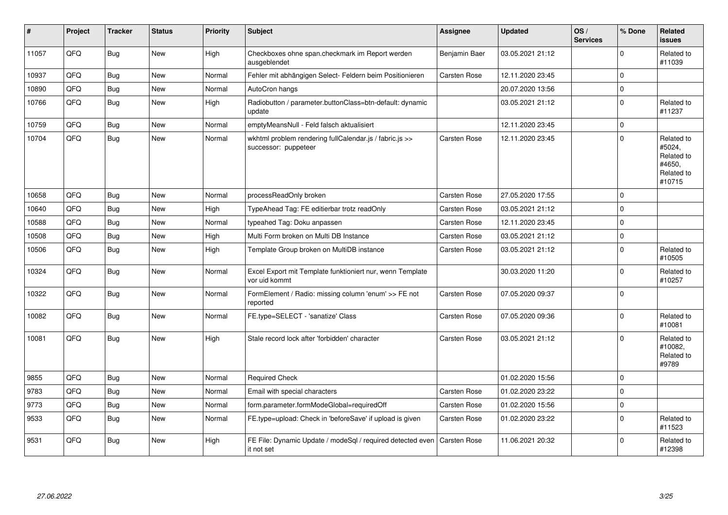| #     | Project | <b>Tracker</b> | <b>Status</b> | <b>Priority</b> | <b>Subject</b>                                                                  | Assignee            | <b>Updated</b>   | OS/<br><b>Services</b> | % Done      | Related<br><b>issues</b>                                             |
|-------|---------|----------------|---------------|-----------------|---------------------------------------------------------------------------------|---------------------|------------------|------------------------|-------------|----------------------------------------------------------------------|
| 11057 | QFQ     | Bug            | <b>New</b>    | High            | Checkboxes ohne span.checkmark im Report werden<br>ausgeblendet                 | Benjamin Baer       | 03.05.2021 21:12 |                        | $\mathbf 0$ | Related to<br>#11039                                                 |
| 10937 | QFQ     | <b>Bug</b>     | <b>New</b>    | Normal          | Fehler mit abhängigen Select- Feldern beim Positionieren                        | Carsten Rose        | 12.11.2020 23:45 |                        | $\mathbf 0$ |                                                                      |
| 10890 | QFQ     | <b>Bug</b>     | <b>New</b>    | Normal          | AutoCron hangs                                                                  |                     | 20.07.2020 13:56 |                        | $\mathbf 0$ |                                                                      |
| 10766 | QFQ     | Bug            | New           | High            | Radiobutton / parameter.buttonClass=btn-default: dynamic<br>update              |                     | 03.05.2021 21:12 |                        | $\mathbf 0$ | Related to<br>#11237                                                 |
| 10759 | QFQ     | Bug            | <b>New</b>    | Normal          | emptyMeansNull - Feld falsch aktualisiert                                       |                     | 12.11.2020 23:45 |                        | $\pmb{0}$   |                                                                      |
| 10704 | QFQ     | Bug            | <b>New</b>    | Normal          | wkhtml problem rendering fullCalendar.js / fabric.js >><br>successor: puppeteer | <b>Carsten Rose</b> | 12.11.2020 23:45 |                        | $\mathbf 0$ | Related to<br>#5024,<br>Related to<br>#4650.<br>Related to<br>#10715 |
| 10658 | QFQ     | Bug            | <b>New</b>    | Normal          | processReadOnly broken                                                          | <b>Carsten Rose</b> | 27.05.2020 17:55 |                        | $\mathbf 0$ |                                                                      |
| 10640 | QFQ     | <b>Bug</b>     | <b>New</b>    | High            | TypeAhead Tag: FE editierbar trotz readOnly                                     | <b>Carsten Rose</b> | 03.05.2021 21:12 |                        | $\mathbf 0$ |                                                                      |
| 10588 | QFQ     | Bug            | <b>New</b>    | Normal          | typeahed Tag: Doku anpassen                                                     | <b>Carsten Rose</b> | 12.11.2020 23:45 |                        | $\mathbf 0$ |                                                                      |
| 10508 | QFQ     | <b>Bug</b>     | <b>New</b>    | High            | Multi Form broken on Multi DB Instance                                          | Carsten Rose        | 03.05.2021 21:12 |                        | $\mathbf 0$ |                                                                      |
| 10506 | QFQ     | Bug            | New           | High            | Template Group broken on MultiDB instance                                       | Carsten Rose        | 03.05.2021 21:12 |                        | $\mathbf 0$ | Related to<br>#10505                                                 |
| 10324 | QFQ     | Bug            | <b>New</b>    | Normal          | Excel Export mit Template funktioniert nur, wenn Template<br>vor uid kommt      |                     | 30.03.2020 11:20 |                        | $\mathbf 0$ | Related to<br>#10257                                                 |
| 10322 | QFQ     | Bug            | New           | Normal          | FormElement / Radio: missing column 'enum' >> FE not<br>reported                | Carsten Rose        | 07.05.2020 09:37 |                        | $\Omega$    |                                                                      |
| 10082 | QFQ     | Bug            | <b>New</b>    | Normal          | FE.type=SELECT - 'sanatize' Class                                               | Carsten Rose        | 07.05.2020 09:36 |                        | $\pmb{0}$   | Related to<br>#10081                                                 |
| 10081 | QFQ     | <b>Bug</b>     | <b>New</b>    | High            | Stale record lock after 'forbidden' character                                   | <b>Carsten Rose</b> | 03.05.2021 21:12 |                        | $\Omega$    | Related to<br>#10082.<br>Related to<br>#9789                         |
| 9855  | QFQ     | Bug            | <b>New</b>    | Normal          | <b>Required Check</b>                                                           |                     | 01.02.2020 15:56 |                        | $\Omega$    |                                                                      |
| 9783  | QFQ     | Bug            | <b>New</b>    | Normal          | Email with special characters                                                   | <b>Carsten Rose</b> | 01.02.2020 23:22 |                        | $\Omega$    |                                                                      |
| 9773  | QFQ     | Bug            | <b>New</b>    | Normal          | form.parameter.formModeGlobal=requiredOff                                       | Carsten Rose        | 01.02.2020 15:56 |                        | $\pmb{0}$   |                                                                      |
| 9533  | QFQ     | Bug            | New           | Normal          | FE.type=upload: Check in 'beforeSave' if upload is given                        | <b>Carsten Rose</b> | 01.02.2020 23:22 |                        | $\mathbf 0$ | Related to<br>#11523                                                 |
| 9531  | QFQ     | Bug            | <b>New</b>    | High            | FE File: Dynamic Update / modeSql / required detected even<br>it not set        | Carsten Rose        | 11.06.2021 20:32 |                        | $\Omega$    | Related to<br>#12398                                                 |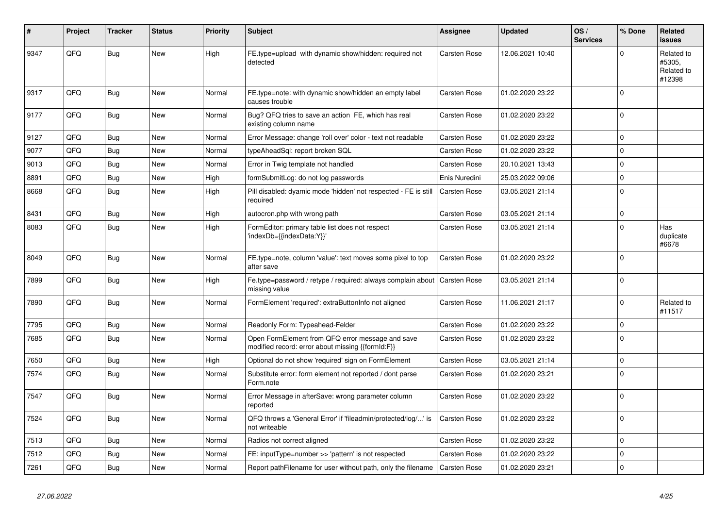| #    | Project | <b>Tracker</b> | <b>Status</b> | <b>Priority</b> | <b>Subject</b>                                                                                        | <b>Assignee</b>     | <b>Updated</b>   | OS/<br><b>Services</b> | % Done         | Related<br><b>issues</b>                     |
|------|---------|----------------|---------------|-----------------|-------------------------------------------------------------------------------------------------------|---------------------|------------------|------------------------|----------------|----------------------------------------------|
| 9347 | QFQ     | <b>Bug</b>     | New           | High            | FE.type=upload with dynamic show/hidden: required not<br>detected                                     | Carsten Rose        | 12.06.2021 10:40 |                        | $\Omega$       | Related to<br>#5305,<br>Related to<br>#12398 |
| 9317 | QFQ     | Bug            | <b>New</b>    | Normal          | FE.type=note: with dynamic show/hidden an empty label<br>causes trouble                               | <b>Carsten Rose</b> | 01.02.2020 23:22 |                        | 0              |                                              |
| 9177 | QFQ     | <b>Bug</b>     | <b>New</b>    | Normal          | Bug? QFQ tries to save an action FE, which has real<br>existing column name                           | Carsten Rose        | 01.02.2020 23:22 |                        | $\Omega$       |                                              |
| 9127 | QFQ     | <b>Bug</b>     | <b>New</b>    | Normal          | Error Message: change 'roll over' color - text not readable                                           | <b>Carsten Rose</b> | 01.02.2020 23:22 |                        | $\mathbf 0$    |                                              |
| 9077 | QFQ     | <b>Bug</b>     | New           | Normal          | typeAheadSql: report broken SQL                                                                       | Carsten Rose        | 01.02.2020 23:22 |                        | $\Omega$       |                                              |
| 9013 | QFQ     | Bug            | <b>New</b>    | Normal          | Error in Twig template not handled                                                                    | Carsten Rose        | 20.10.2021 13:43 |                        | $\mathbf 0$    |                                              |
| 8891 | QFQ     | Bug            | <b>New</b>    | High            | formSubmitLog: do not log passwords                                                                   | Enis Nuredini       | 25.03.2022 09:06 |                        | $\mathbf 0$    |                                              |
| 8668 | QFQ     | <b>Bug</b>     | <b>New</b>    | High            | Pill disabled: dyamic mode 'hidden' not respected - FE is still<br>required                           | Carsten Rose        | 03.05.2021 21:14 |                        | $\mathbf{0}$   |                                              |
| 8431 | QFQ     | Bug            | New           | High            | autocron.php with wrong path                                                                          | <b>Carsten Rose</b> | 03.05.2021 21:14 |                        | $\mathbf 0$    |                                              |
| 8083 | QFQ     | Bug            | New           | High            | FormEditor: primary table list does not respect<br>'indexDb={{indexData:Y}}'                          | <b>Carsten Rose</b> | 03.05.2021 21:14 |                        | $\Omega$       | Has<br>duplicate<br>#6678                    |
| 8049 | QFQ     | Bug            | <b>New</b>    | Normal          | FE.type=note, column 'value': text moves some pixel to top<br>after save                              | Carsten Rose        | 01.02.2020 23:22 |                        | $\Omega$       |                                              |
| 7899 | QFQ     | <b>Bug</b>     | New           | High            | Fe.type=password / retype / required: always complain about<br>missing value                          | <b>Carsten Rose</b> | 03.05.2021 21:14 |                        | $\mathbf{0}$   |                                              |
| 7890 | QFQ     | <b>Bug</b>     | <b>New</b>    | Normal          | FormElement 'required': extraButtonInfo not aligned                                                   | Carsten Rose        | 11.06.2021 21:17 |                        | $\Omega$       | Related to<br>#11517                         |
| 7795 | QFQ     | Bug            | <b>New</b>    | Normal          | Readonly Form: Typeahead-Felder                                                                       | <b>Carsten Rose</b> | 01.02.2020 23:22 |                        | $\Omega$       |                                              |
| 7685 | QFQ     | Bug            | <b>New</b>    | Normal          | Open FormElement from QFQ error message and save<br>modified record: error about missing {{formId:F}} | Carsten Rose        | 01.02.2020 23:22 |                        | $\Omega$       |                                              |
| 7650 | QFQ     | <b>Bug</b>     | <b>New</b>    | High            | Optional do not show 'required' sign on FormElement                                                   | <b>Carsten Rose</b> | 03.05.2021 21:14 |                        | $\Omega$       |                                              |
| 7574 | QFQ     | Bug            | New           | Normal          | Substitute error: form element not reported / dont parse<br>Form.note                                 | Carsten Rose        | 01.02.2020 23:21 |                        | $\overline{0}$ |                                              |
| 7547 | QFQ     | <b>Bug</b>     | <b>New</b>    | Normal          | Error Message in afterSave: wrong parameter column<br>reported                                        | Carsten Rose        | 01.02.2020 23:22 |                        | $\mathbf{0}$   |                                              |
| 7524 | QFQ     | Bug            | New           | Normal          | QFQ throws a 'General Error' if 'fileadmin/protected/log/' is<br>not writeable                        | Carsten Rose        | 01.02.2020 23:22 |                        | $\mathbf 0$    |                                              |
| 7513 | QFQ     | <b>Bug</b>     | <b>New</b>    | Normal          | Radios not correct aligned                                                                            | <b>Carsten Rose</b> | 01.02.2020 23:22 |                        | $\mathbf 0$    |                                              |
| 7512 | QFQ     | Bug            | New           | Normal          | FE: inputType=number >> 'pattern' is not respected                                                    | <b>Carsten Rose</b> | 01.02.2020 23:22 |                        | $\mathbf 0$    |                                              |
| 7261 | QFQ     | Bug            | New           | Normal          | Report pathFilename for user without path, only the filename                                          | <b>Carsten Rose</b> | 01.02.2020 23:21 |                        | $\Omega$       |                                              |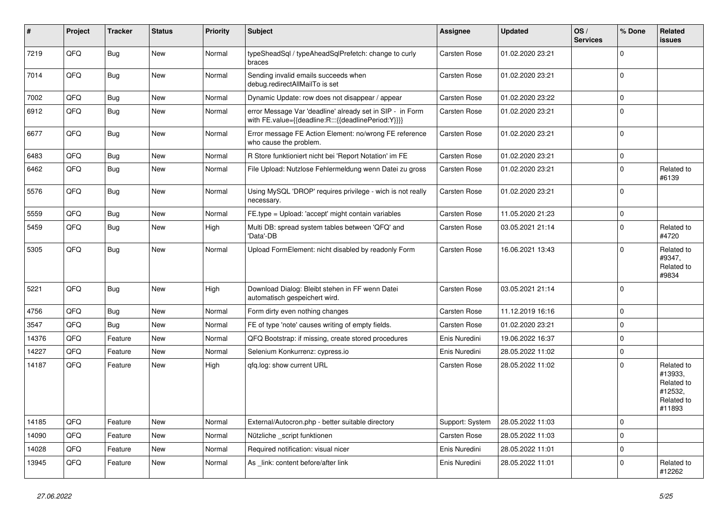| $\vert$ # | Project | <b>Tracker</b> | <b>Status</b> | <b>Priority</b> | <b>Subject</b>                                                                                                   | <b>Assignee</b>     | <b>Updated</b>   | OS/<br><b>Services</b> | % Done              | Related<br><b>issues</b>                                               |
|-----------|---------|----------------|---------------|-----------------|------------------------------------------------------------------------------------------------------------------|---------------------|------------------|------------------------|---------------------|------------------------------------------------------------------------|
| 7219      | QFQ     | Bug            | <b>New</b>    | Normal          | typeSheadSql / typeAheadSqlPrefetch: change to curly<br>braces                                                   | Carsten Rose        | 01.02.2020 23:21 |                        | $\mathbf 0$         |                                                                        |
| 7014      | QFQ     | Bug            | <b>New</b>    | Normal          | Sending invalid emails succeeds when<br>debug.redirectAllMailTo is set                                           | Carsten Rose        | 01.02.2020 23:21 |                        | $\mathbf 0$         |                                                                        |
| 7002      | QFQ     | Bug            | New           | Normal          | Dynamic Update: row does not disappear / appear                                                                  | Carsten Rose        | 01.02.2020 23:22 |                        | $\mathbf 0$         |                                                                        |
| 6912      | QFQ     | Bug            | New           | Normal          | error Message Var 'deadline' already set in SIP - in Form<br>with FE.value={{deadline:R:::{{deadlinePeriod:Y}}}} | Carsten Rose        | 01.02.2020 23:21 |                        | $\pmb{0}$           |                                                                        |
| 6677      | QFQ     | <b>Bug</b>     | <b>New</b>    | Normal          | Error message FE Action Element: no/wrong FE reference<br>who cause the problem.                                 | Carsten Rose        | 01.02.2020 23:21 |                        | $\mathbf 0$         |                                                                        |
| 6483      | QFQ     | <b>Bug</b>     | <b>New</b>    | Normal          | R Store funktioniert nicht bei 'Report Notation' im FE                                                           | Carsten Rose        | 01.02.2020 23:21 |                        | $\mathbf 0$         |                                                                        |
| 6462      | QFQ     | <b>Bug</b>     | <b>New</b>    | Normal          | File Upload: Nutzlose Fehlermeldung wenn Datei zu gross                                                          | Carsten Rose        | 01.02.2020 23:21 |                        | $\mathbf 0$         | Related to<br>#6139                                                    |
| 5576      | QFQ     | Bug            | <b>New</b>    | Normal          | Using MySQL 'DROP' requires privilege - wich is not really<br>necessary.                                         | Carsten Rose        | 01.02.2020 23:21 |                        | $\mathbf 0$         |                                                                        |
| 5559      | QFQ     | Bug            | New           | Normal          | FE.type = Upload: 'accept' might contain variables                                                               | Carsten Rose        | 11.05.2020 21:23 |                        | $\pmb{0}$           |                                                                        |
| 5459      | QFQ     | <b>Bug</b>     | New           | High            | Multi DB: spread system tables between 'QFQ' and<br>'Data'-DB                                                    | Carsten Rose        | 03.05.2021 21:14 |                        | $\Omega$            | Related to<br>#4720                                                    |
| 5305      | QFQ     | Bug            | <b>New</b>    | Normal          | Upload FormElement: nicht disabled by readonly Form                                                              | Carsten Rose        | 16.06.2021 13:43 |                        | $\mathbf 0$         | Related to<br>#9347,<br>Related to<br>#9834                            |
| 5221      | QFQ     | Bug            | <b>New</b>    | High            | Download Dialog: Bleibt stehen in FF wenn Datei<br>automatisch gespeichert wird.                                 | Carsten Rose        | 03.05.2021 21:14 |                        | $\mathbf 0$         |                                                                        |
| 4756      | QFQ     | Bug            | <b>New</b>    | Normal          | Form dirty even nothing changes                                                                                  | Carsten Rose        | 11.12.2019 16:16 |                        | $\mathbf{0}$        |                                                                        |
| 3547      | QFQ     | <b>Bug</b>     | New           | Normal          | FE of type 'note' causes writing of empty fields.                                                                | Carsten Rose        | 01.02.2020 23:21 |                        | $\mathbf 0$         |                                                                        |
| 14376     | QFQ     | Feature        | New           | Normal          | QFQ Bootstrap: if missing, create stored procedures                                                              | Enis Nuredini       | 19.06.2022 16:37 |                        | $\mathbf 0$         |                                                                        |
| 14227     | QFQ     | Feature        | New           | Normal          | Selenium Konkurrenz: cypress.io                                                                                  | Enis Nuredini       | 28.05.2022 11:02 |                        | $\mathsf{O}\xspace$ |                                                                        |
| 14187     | QFQ     | Feature        | <b>New</b>    | High            | gfg.log: show current URL                                                                                        | <b>Carsten Rose</b> | 28.05.2022 11:02 |                        | $\Omega$            | Related to<br>#13933,<br>Related to<br>#12532,<br>Related to<br>#11893 |
| 14185     | QFQ     | Feature        | <b>New</b>    | Normal          | External/Autocron.php - better suitable directory                                                                | Support: System     | 28.05.2022 11:03 |                        | $\mathbf 0$         |                                                                        |
| 14090     | QFQ     | Feature        | New           | Normal          | Nützliche script funktionen                                                                                      | Carsten Rose        | 28.05.2022 11:03 |                        | $\mathbf 0$         |                                                                        |
| 14028     | QFQ     | Feature        | New           | Normal          | Required notification: visual nicer                                                                              | Enis Nuredini       | 28.05.2022 11:01 |                        | $\mathbf 0$         |                                                                        |
| 13945     | QFQ     | Feature        | <b>New</b>    | Normal          | As link: content before/after link                                                                               | Enis Nuredini       | 28.05.2022 11:01 |                        | $\mathbf 0$         | Related to<br>#12262                                                   |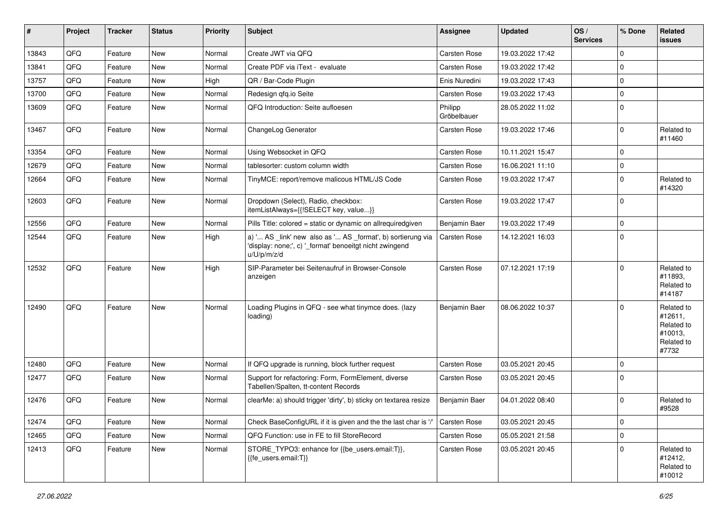| #     | Project | <b>Tracker</b> | <b>Status</b> | <b>Priority</b> | Subject                                                                                                                               | Assignee               | <b>Updated</b>   | OS/<br><b>Services</b> | % Done      | Related<br><b>issues</b>                                              |
|-------|---------|----------------|---------------|-----------------|---------------------------------------------------------------------------------------------------------------------------------------|------------------------|------------------|------------------------|-------------|-----------------------------------------------------------------------|
| 13843 | QFQ     | Feature        | <b>New</b>    | Normal          | Create JWT via QFQ                                                                                                                    | <b>Carsten Rose</b>    | 19.03.2022 17:42 |                        | $\mathbf 0$ |                                                                       |
| 13841 | QFQ     | Feature        | New           | Normal          | Create PDF via iText - evaluate                                                                                                       | Carsten Rose           | 19.03.2022 17:42 |                        | $\mathbf 0$ |                                                                       |
| 13757 | QFQ     | Feature        | <b>New</b>    | High            | QR / Bar-Code Plugin                                                                                                                  | Enis Nuredini          | 19.03.2022 17:43 |                        | 0           |                                                                       |
| 13700 | QFQ     | Feature        | <b>New</b>    | Normal          | Redesign qfq.io Seite                                                                                                                 | <b>Carsten Rose</b>    | 19.03.2022 17:43 |                        | $\mathbf 0$ |                                                                       |
| 13609 | QFQ     | Feature        | New           | Normal          | QFQ Introduction: Seite aufloesen                                                                                                     | Philipp<br>Gröbelbauer | 28.05.2022 11:02 |                        | $\mathbf 0$ |                                                                       |
| 13467 | QFQ     | Feature        | New           | Normal          | ChangeLog Generator                                                                                                                   | <b>Carsten Rose</b>    | 19.03.2022 17:46 |                        | 0           | Related to<br>#11460                                                  |
| 13354 | QFQ     | Feature        | <b>New</b>    | Normal          | Using Websocket in QFQ                                                                                                                | <b>Carsten Rose</b>    | 10.11.2021 15:47 |                        | $\mathbf 0$ |                                                                       |
| 12679 | QFQ     | Feature        | New           | Normal          | tablesorter: custom column width                                                                                                      | Carsten Rose           | 16.06.2021 11:10 |                        | 0           |                                                                       |
| 12664 | QFQ     | Feature        | New           | Normal          | TinyMCE: report/remove malicous HTML/JS Code                                                                                          | Carsten Rose           | 19.03.2022 17:47 |                        | 0           | Related to<br>#14320                                                  |
| 12603 | QFQ     | Feature        | New           | Normal          | Dropdown (Select), Radio, checkbox:<br>itemListAlways={{!SELECT key, value}}                                                          | Carsten Rose           | 19.03.2022 17:47 |                        | $\mathbf 0$ |                                                                       |
| 12556 | QFQ     | Feature        | New           | Normal          | Pills Title: colored = static or dynamic on allrequiredgiven                                                                          | Benjamin Baer          | 19.03.2022 17:49 |                        | $\mathbf 0$ |                                                                       |
| 12544 | QFQ     | Feature        | New           | High            | a) ' AS _link' new also as ' AS _format', b) sortierung via<br>'display: none;', c) '_format' benoeitgt nicht zwingend<br>u/U/p/m/z/d | Carsten Rose           | 14.12.2021 16:03 |                        | $\mathbf 0$ |                                                                       |
| 12532 | QFQ     | Feature        | <b>New</b>    | High            | SIP-Parameter bei Seitenaufruf in Browser-Console<br>anzeigen                                                                         | Carsten Rose           | 07.12.2021 17:19 |                        | $\mathbf 0$ | Related to<br>#11893.<br>Related to<br>#14187                         |
| 12490 | QFQ     | Feature        | <b>New</b>    | Normal          | Loading Plugins in QFQ - see what tinymce does. (lazy<br>loading)                                                                     | Benjamin Baer          | 08.06.2022 10:37 |                        | $\Omega$    | Related to<br>#12611,<br>Related to<br>#10013,<br>Related to<br>#7732 |
| 12480 | QFQ     | Feature        | <b>New</b>    | Normal          | If QFQ upgrade is running, block further request                                                                                      | <b>Carsten Rose</b>    | 03.05.2021 20:45 |                        | $\mathbf 0$ |                                                                       |
| 12477 | QFQ     | Feature        | New           | Normal          | Support for refactoring: Form, FormElement, diverse<br>Tabellen/Spalten, tt-content Records                                           | <b>Carsten Rose</b>    | 03.05.2021 20:45 |                        | 0           |                                                                       |
| 12476 | QFQ     | Feature        | New           | Normal          | clearMe: a) should trigger 'dirty', b) sticky on textarea resize                                                                      | Benjamin Baer          | 04.01.2022 08:40 |                        | $\mathbf 0$ | Related to<br>#9528                                                   |
| 12474 | QFQ     | Feature        | New           | Normal          | Check BaseConfigURL if it is given and the the last char is '/'                                                                       | <b>Carsten Rose</b>    | 03.05.2021 20:45 |                        | $\mathbf 0$ |                                                                       |
| 12465 | QFQ     | Feature        | New           | Normal          | QFQ Function: use in FE to fill StoreRecord                                                                                           | Carsten Rose           | 05.05.2021 21:58 |                        | 0           |                                                                       |
| 12413 | QFQ     | Feature        | New           | Normal          | STORE_TYPO3: enhance for {{be_users.email:T}},<br>{{fe_users.email:T}}                                                                | Carsten Rose           | 03.05.2021 20:45 |                        | $\mathbf 0$ | Related to<br>#12412,<br>Related to<br>#10012                         |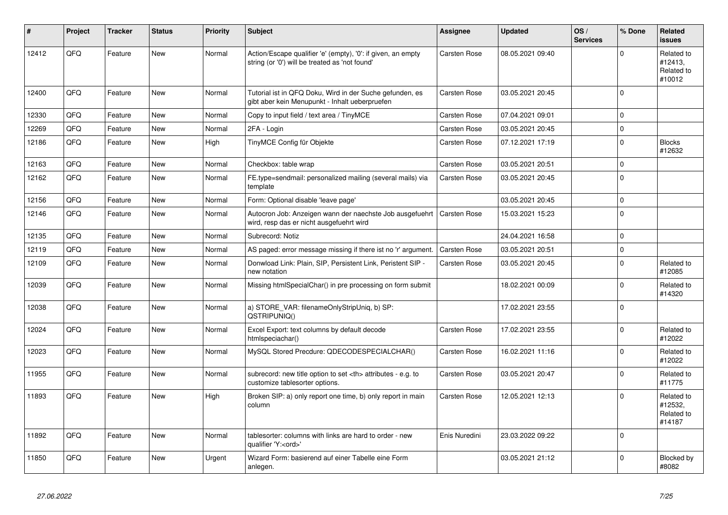| #     | Project | <b>Tracker</b> | <b>Status</b> | <b>Priority</b> | <b>Subject</b>                                                                                                 | Assignee                                               | <b>Updated</b>      | OS/<br><b>Services</b> | % Done      | Related<br><b>issues</b>                      |                      |
|-------|---------|----------------|---------------|-----------------|----------------------------------------------------------------------------------------------------------------|--------------------------------------------------------|---------------------|------------------------|-------------|-----------------------------------------------|----------------------|
| 12412 | QFQ     | Feature        | <b>New</b>    | Normal          | Action/Escape qualifier 'e' (empty), '0': if given, an empty<br>string (or '0') will be treated as 'not found' | <b>Carsten Rose</b>                                    | 08.05.2021 09:40    |                        | $\Omega$    | Related to<br>#12413,<br>Related to<br>#10012 |                      |
| 12400 | QFQ     | Feature        | <b>New</b>    | Normal          | Tutorial ist in QFQ Doku, Wird in der Suche gefunden, es<br>gibt aber kein Menupunkt - Inhalt ueberpruefen     | Carsten Rose                                           | 03.05.2021 20:45    |                        | $\Omega$    |                                               |                      |
| 12330 | QFQ     | Feature        | <b>New</b>    | Normal          | Copy to input field / text area / TinyMCE                                                                      | <b>Carsten Rose</b>                                    | 07.04.2021 09:01    |                        | $\Omega$    |                                               |                      |
| 12269 | QFQ     | Feature        | <b>New</b>    | Normal          | 2FA - Login                                                                                                    | Carsten Rose                                           | 03.05.2021 20:45    |                        | $\mathbf 0$ |                                               |                      |
| 12186 | QFQ     | Feature        | <b>New</b>    | High            | TinyMCE Config für Objekte                                                                                     | Carsten Rose                                           | 07.12.2021 17:19    |                        | $\Omega$    | <b>Blocks</b><br>#12632                       |                      |
| 12163 | QFQ     | Feature        | <b>New</b>    | Normal          | Checkbox: table wrap                                                                                           | <b>Carsten Rose</b>                                    | 03.05.2021 20:51    |                        | $\mathbf 0$ |                                               |                      |
| 12162 | QFQ     | Feature        | <b>New</b>    | Normal          | FE.type=sendmail: personalized mailing (several mails) via<br>template                                         | Carsten Rose                                           | 03.05.2021 20:45    |                        | $\mathbf 0$ |                                               |                      |
| 12156 | QFQ     | Feature        | <b>New</b>    | Normal          | Form: Optional disable 'leave page'                                                                            |                                                        | 03.05.2021 20:45    |                        | $\mathbf 0$ |                                               |                      |
| 12146 | QFQ     | Feature        | <b>New</b>    | Normal          | Autocron Job: Anzeigen wann der naechste Job ausgefuehrt<br>wird, resp das er nicht ausgefuehrt wird           | <b>Carsten Rose</b>                                    | 15.03.2021 15:23    |                        | $\mathbf 0$ |                                               |                      |
| 12135 | QFQ     | Feature        | <b>New</b>    | Normal          | Subrecord: Notiz                                                                                               |                                                        | 24.04.2021 16:58    |                        | $\Omega$    |                                               |                      |
| 12119 | QFQ     | Feature        | <b>New</b>    | Normal          | AS paged: error message missing if there ist no 'r' argument.                                                  | <b>Carsten Rose</b>                                    | 03.05.2021 20:51    |                        | $\mathbf 0$ |                                               |                      |
| 12109 | QFQ     | Feature        | New           | Normal          | Donwload Link: Plain, SIP, Persistent Link, Peristent SIP -<br>new notation                                    | Carsten Rose                                           | 03.05.2021 20:45    |                        | $\Omega$    | Related to<br>#12085                          |                      |
| 12039 | QFQ     | Feature        | <b>New</b>    | Normal          | Missing htmlSpecialChar() in pre processing on form submit                                                     |                                                        | 18.02.2021 00:09    |                        | $\mathbf 0$ | Related to<br>#14320                          |                      |
| 12038 | QFQ     | Feature        | <b>New</b>    | Normal          | a) STORE VAR: filenameOnlyStripUniq, b) SP:<br>QSTRIPUNIQ()                                                    |                                                        | 17.02.2021 23:55    |                        | $\Omega$    |                                               |                      |
| 12024 | QFQ     | Feature        | <b>New</b>    | Normal          | Excel Export: text columns by default decode<br>htmlspeciachar()                                               | Carsten Rose                                           | 17.02.2021 23:55    |                        | $\mathbf 0$ | Related to<br>#12022                          |                      |
| 12023 | QFQ     | Feature        | <b>New</b>    | Normal          | MySQL Stored Precdure: QDECODESPECIALCHAR()                                                                    | Carsten Rose                                           | 16.02.2021 11:16    |                        | $\mathbf 0$ | Related to<br>#12022                          |                      |
| 11955 | QFQ     | Feature        | <b>New</b>    | Normal          | subrecord: new title option to set <th> attributes - e.g. to<br/>customize tablesorter options.</th>           | attributes - e.g. to<br>customize tablesorter options. | <b>Carsten Rose</b> | 03.05.2021 20:47       |             | $\Omega$                                      | Related to<br>#11775 |
| 11893 | QFQ     | Feature        | <b>New</b>    | High            | Broken SIP: a) only report one time, b) only report in main<br>column                                          | Carsten Rose                                           | 12.05.2021 12:13    |                        | $\mathbf 0$ | Related to<br>#12532,<br>Related to<br>#14187 |                      |
| 11892 | QFQ     | Feature        | <b>New</b>    | Normal          | tablesorter: columns with links are hard to order - new<br>qualifier 'Y: <ord>'</ord>                          | Enis Nuredini                                          | 23.03.2022 09:22    |                        | $\mathbf 0$ |                                               |                      |
| 11850 | QFQ     | Feature        | <b>New</b>    | Urgent          | Wizard Form: basierend auf einer Tabelle eine Form<br>anlegen.                                                 |                                                        | 03.05.2021 21:12    |                        | $\Omega$    | Blocked by<br>#8082                           |                      |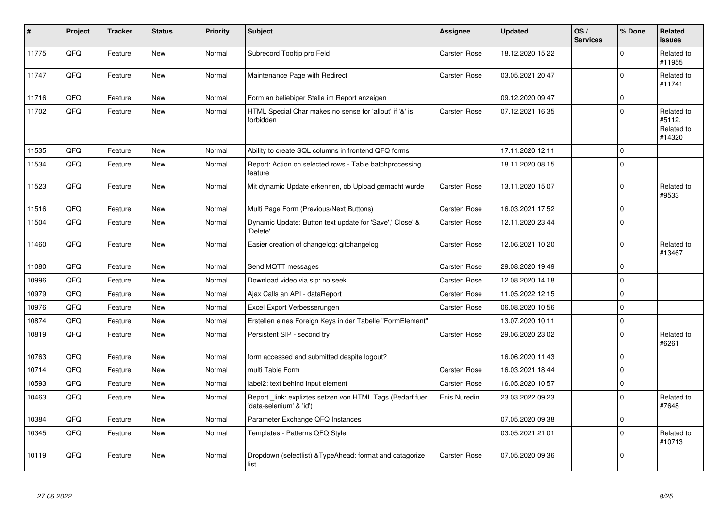| #     | Project | <b>Tracker</b> | <b>Status</b> | <b>Priority</b> | <b>Subject</b>                                                                      | <b>Assignee</b>     | <b>Updated</b>   | OS/<br><b>Services</b> | % Done              | <b>Related</b><br><b>issues</b>              |
|-------|---------|----------------|---------------|-----------------|-------------------------------------------------------------------------------------|---------------------|------------------|------------------------|---------------------|----------------------------------------------|
| 11775 | QFQ     | Feature        | <b>New</b>    | Normal          | Subrecord Tooltip pro Feld                                                          | <b>Carsten Rose</b> | 18.12.2020 15:22 |                        | $\Omega$            | Related to<br>#11955                         |
| 11747 | QFQ     | Feature        | <b>New</b>    | Normal          | Maintenance Page with Redirect                                                      | Carsten Rose        | 03.05.2021 20:47 |                        | $\mathbf 0$         | Related to<br>#11741                         |
| 11716 | QFQ     | Feature        | <b>New</b>    | Normal          | Form an beliebiger Stelle im Report anzeigen                                        |                     | 09.12.2020 09:47 |                        | $\mathbf 0$         |                                              |
| 11702 | QFQ     | Feature        | <b>New</b>    | Normal          | HTML Special Char makes no sense for 'allbut' if '&' is<br>forbidden                | <b>Carsten Rose</b> | 07.12.2021 16:35 |                        | $\mathbf 0$         | Related to<br>#5112,<br>Related to<br>#14320 |
| 11535 | QFQ     | Feature        | <b>New</b>    | Normal          | Ability to create SQL columns in frontend QFQ forms                                 |                     | 17.11.2020 12:11 |                        | $\Omega$            |                                              |
| 11534 | QFQ     | Feature        | <b>New</b>    | Normal          | Report: Action on selected rows - Table batchprocessing<br>feature                  |                     | 18.11.2020 08:15 |                        | $\mathbf 0$         |                                              |
| 11523 | QFQ     | Feature        | <b>New</b>    | Normal          | Mit dynamic Update erkennen, ob Upload gemacht wurde                                | Carsten Rose        | 13.11.2020 15:07 |                        | $\mathbf 0$         | Related to<br>#9533                          |
| 11516 | QFQ     | Feature        | <b>New</b>    | Normal          | Multi Page Form (Previous/Next Buttons)                                             | Carsten Rose        | 16.03.2021 17:52 |                        | $\mathsf{O}\xspace$ |                                              |
| 11504 | QFQ     | Feature        | <b>New</b>    | Normal          | Dynamic Update: Button text update for 'Save',' Close' &<br>'Delete'                | Carsten Rose        | 12.11.2020 23:44 |                        | $\Omega$            |                                              |
| 11460 | QFQ     | Feature        | <b>New</b>    | Normal          | Easier creation of changelog: gitchangelog                                          | Carsten Rose        | 12.06.2021 10:20 |                        | $\mathbf 0$         | Related to<br>#13467                         |
| 11080 | QFQ     | Feature        | <b>New</b>    | Normal          | Send MQTT messages                                                                  | <b>Carsten Rose</b> | 29.08.2020 19:49 |                        | $\mathbf 0$         |                                              |
| 10996 | QFQ     | Feature        | <b>New</b>    | Normal          | Download video via sip: no seek                                                     | Carsten Rose        | 12.08.2020 14:18 |                        | $\mathbf 0$         |                                              |
| 10979 | QFQ     | Feature        | <b>New</b>    | Normal          | Ajax Calls an API - dataReport                                                      | Carsten Rose        | 11.05.2022 12:15 |                        | $\mathbf 0$         |                                              |
| 10976 | QFQ     | Feature        | New           | Normal          | Excel Export Verbesserungen                                                         | Carsten Rose        | 06.08.2020 10:56 |                        | $\mathbf 0$         |                                              |
| 10874 | QFQ     | Feature        | <b>New</b>    | Normal          | Erstellen eines Foreign Keys in der Tabelle "FormElement"                           |                     | 13.07.2020 10:11 |                        | $\mathbf 0$         |                                              |
| 10819 | QFQ     | Feature        | New           | Normal          | Persistent SIP - second try                                                         | <b>Carsten Rose</b> | 29.06.2020 23:02 |                        | $\mathbf 0$         | Related to<br>#6261                          |
| 10763 | QFQ     | Feature        | <b>New</b>    | Normal          | form accessed and submitted despite logout?                                         |                     | 16.06.2020 11:43 |                        | $\mathbf 0$         |                                              |
| 10714 | QFQ     | Feature        | <b>New</b>    | Normal          | multi Table Form                                                                    | <b>Carsten Rose</b> | 16.03.2021 18:44 |                        | $\mathbf 0$         |                                              |
| 10593 | QFQ     | Feature        | New           | Normal          | label2: text behind input element                                                   | Carsten Rose        | 16.05.2020 10:57 |                        | $\pmb{0}$           |                                              |
| 10463 | QFQ     | Feature        | <b>New</b>    | Normal          | Report_link: expliztes setzen von HTML Tags (Bedarf fuer<br>'data-selenium' & 'id') | Enis Nuredini       | 23.03.2022 09:23 |                        | $\mathbf 0$         | Related to<br>#7648                          |
| 10384 | QFQ     | Feature        | <b>New</b>    | Normal          | Parameter Exchange QFQ Instances                                                    |                     | 07.05.2020 09:38 |                        | $\mathbf 0$         |                                              |
| 10345 | QFQ     | Feature        | <b>New</b>    | Normal          | Templates - Patterns QFQ Style                                                      |                     | 03.05.2021 21:01 |                        | $\mathbf 0$         | Related to<br>#10713                         |
| 10119 | QFQ     | Feature        | <b>New</b>    | Normal          | Dropdown (selectlist) & TypeAhead: format and catagorize<br>list                    | Carsten Rose        | 07.05.2020 09:36 |                        | $\mathbf 0$         |                                              |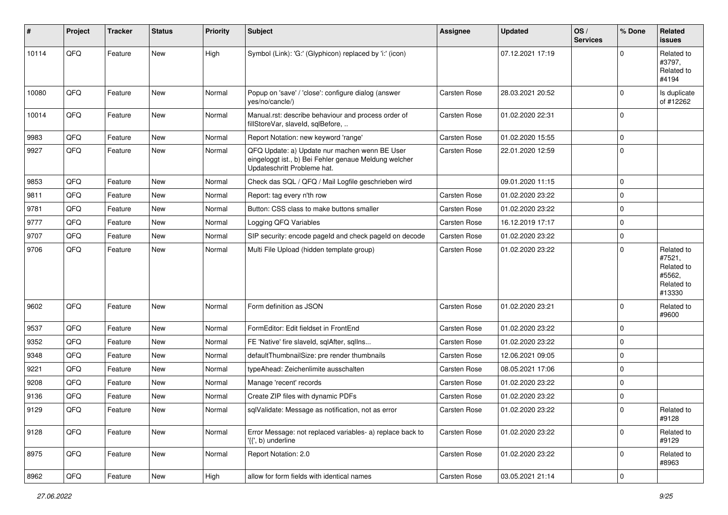| ∦     | Project | <b>Tracker</b> | <b>Status</b> | <b>Priority</b> | <b>Subject</b>                                                                                                                        | <b>Assignee</b>     | <b>Updated</b>   | OS/<br><b>Services</b> | % Done      | <b>Related</b><br><b>issues</b>                                      |
|-------|---------|----------------|---------------|-----------------|---------------------------------------------------------------------------------------------------------------------------------------|---------------------|------------------|------------------------|-------------|----------------------------------------------------------------------|
| 10114 | QFQ     | Feature        | New           | High            | Symbol (Link): 'G:' (Glyphicon) replaced by 'i:' (icon)                                                                               |                     | 07.12.2021 17:19 |                        | $\Omega$    | Related to<br>#3797,<br>Related to<br>#4194                          |
| 10080 | QFQ     | Feature        | <b>New</b>    | Normal          | Popup on 'save' / 'close': configure dialog (answer<br>yes/no/cancle/)                                                                | <b>Carsten Rose</b> | 28.03.2021 20:52 |                        | $\mathbf 0$ | Is duplicate<br>of #12262                                            |
| 10014 | QFQ     | Feature        | <b>New</b>    | Normal          | Manual.rst: describe behaviour and process order of<br>fillStoreVar, slaveId, sqlBefore,                                              | Carsten Rose        | 01.02.2020 22:31 |                        | $\mathbf 0$ |                                                                      |
| 9983  | QFQ     | Feature        | <b>New</b>    | Normal          | Report Notation: new keyword 'range'                                                                                                  | <b>Carsten Rose</b> | 01.02.2020 15:55 |                        | $\mathbf 0$ |                                                                      |
| 9927  | QFQ     | Feature        | New           | Normal          | QFQ Update: a) Update nur machen wenn BE User<br>eingeloggt ist., b) Bei Fehler genaue Meldung welcher<br>Updateschritt Probleme hat. | Carsten Rose        | 22.01.2020 12:59 |                        | $\mathbf 0$ |                                                                      |
| 9853  | QFQ     | Feature        | <b>New</b>    | Normal          | Check das SQL / QFQ / Mail Logfile geschrieben wird                                                                                   |                     | 09.01.2020 11:15 |                        | $\mathbf 0$ |                                                                      |
| 9811  | QFQ     | Feature        | New           | Normal          | Report: tag every n'th row                                                                                                            | Carsten Rose        | 01.02.2020 23:22 |                        | $\mathbf 0$ |                                                                      |
| 9781  | QFQ     | Feature        | <b>New</b>    | Normal          | Button: CSS class to make buttons smaller                                                                                             | Carsten Rose        | 01.02.2020 23:22 |                        | $\mathbf 0$ |                                                                      |
| 9777  | QFQ     | Feature        | New           | Normal          | Logging QFQ Variables                                                                                                                 | Carsten Rose        | 16.12.2019 17:17 |                        | $\mathbf 0$ |                                                                      |
| 9707  | QFQ     | Feature        | <b>New</b>    | Normal          | SIP security: encode pageld and check pageld on decode                                                                                | <b>Carsten Rose</b> | 01.02.2020 23:22 |                        | $\mathbf 0$ |                                                                      |
| 9706  | QFQ     | Feature        | New           | Normal          | Multi File Upload (hidden template group)                                                                                             | Carsten Rose        | 01.02.2020 23:22 |                        | $\Omega$    | Related to<br>#7521,<br>Related to<br>#5562,<br>Related to<br>#13330 |
| 9602  | QFQ     | Feature        | New           | Normal          | Form definition as JSON                                                                                                               | Carsten Rose        | 01.02.2020 23:21 |                        | $\mathbf 0$ | Related to<br>#9600                                                  |
| 9537  | QFQ     | Feature        | <b>New</b>    | Normal          | FormEditor: Edit fieldset in FrontEnd                                                                                                 | Carsten Rose        | 01.02.2020 23:22 |                        | $\mathbf 0$ |                                                                      |
| 9352  | QFQ     | Feature        | New           | Normal          | FE 'Native' fire slaveld, sqlAfter, sqlIns                                                                                            | Carsten Rose        | 01.02.2020 23:22 |                        | $\mathbf 0$ |                                                                      |
| 9348  | QFQ     | Feature        | <b>New</b>    | Normal          | defaultThumbnailSize: pre render thumbnails                                                                                           | <b>Carsten Rose</b> | 12.06.2021 09:05 |                        | $\mathbf 0$ |                                                                      |
| 9221  | QFQ     | Feature        | New           | Normal          | typeAhead: Zeichenlimite ausschalten                                                                                                  | Carsten Rose        | 08.05.2021 17:06 |                        | $\mathbf 0$ |                                                                      |
| 9208  | QFQ     | Feature        | New           | Normal          | Manage 'recent' records                                                                                                               | Carsten Rose        | 01.02.2020 23:22 |                        | $\mathbf 0$ |                                                                      |
| 9136  | QFQ     | Feature        | <b>New</b>    | Normal          | Create ZIP files with dynamic PDFs                                                                                                    | <b>Carsten Rose</b> | 01.02.2020 23:22 |                        | $\mathbf 0$ |                                                                      |
| 9129  | QFQ     | Feature        | New           | Normal          | sqlValidate: Message as notification, not as error                                                                                    | Carsten Rose        | 01.02.2020 23:22 |                        | $\Omega$    | Related to<br>#9128                                                  |
| 9128  | QFO     | Feature        | New           | Normal          | Error Message: not replaced variables- a) replace back to<br>'{{', b) underline                                                       | Carsten Rose        | 01.02.2020 23:22 |                        | $\mathbf 0$ | Related to<br>#9129                                                  |
| 8975  | QFQ     | Feature        | New           | Normal          | Report Notation: 2.0                                                                                                                  | Carsten Rose        | 01.02.2020 23:22 |                        | $\mathbf 0$ | Related to<br>#8963                                                  |
| 8962  | QFG     | Feature        | New           | High            | allow for form fields with identical names                                                                                            | Carsten Rose        | 03.05.2021 21:14 |                        | $\pmb{0}$   |                                                                      |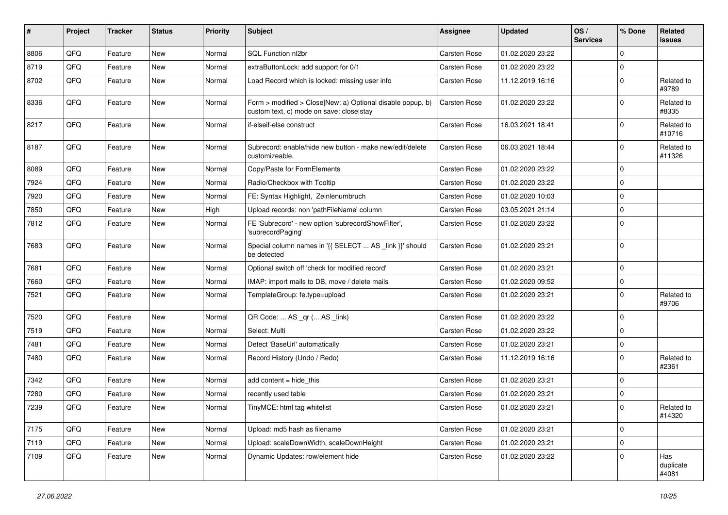| #    | Project | <b>Tracker</b> | <b>Status</b> | <b>Priority</b> | <b>Subject</b>                                                                                         | Assignee     | <b>Updated</b>   | OS/<br><b>Services</b> | % Done      | Related<br>issues         |
|------|---------|----------------|---------------|-----------------|--------------------------------------------------------------------------------------------------------|--------------|------------------|------------------------|-------------|---------------------------|
| 8806 | QFQ     | Feature        | <b>New</b>    | Normal          | SQL Function nl2br                                                                                     | Carsten Rose | 01.02.2020 23:22 |                        | $\mathbf 0$ |                           |
| 8719 | QFQ     | Feature        | New           | Normal          | extraButtonLock: add support for 0/1                                                                   | Carsten Rose | 01.02.2020 23:22 |                        | $\mathbf 0$ |                           |
| 8702 | QFQ     | Feature        | <b>New</b>    | Normal          | Load Record which is locked: missing user info                                                         | Carsten Rose | 11.12.2019 16:16 |                        | $\mathbf 0$ | Related to<br>#9789       |
| 8336 | QFQ     | Feature        | <b>New</b>    | Normal          | Form > modified > Close New: a) Optional disable popup, b)<br>custom text, c) mode on save: close stay | Carsten Rose | 01.02.2020 23:22 |                        | $\mathbf 0$ | Related to<br>#8335       |
| 8217 | QFQ     | Feature        | <b>New</b>    | Normal          | if-elseif-else construct                                                                               | Carsten Rose | 16.03.2021 18:41 |                        | $\mathbf 0$ | Related to<br>#10716      |
| 8187 | QFQ     | Feature        | New           | Normal          | Subrecord: enable/hide new button - make new/edit/delete<br>customizeable.                             | Carsten Rose | 06.03.2021 18:44 |                        | $\Omega$    | Related to<br>#11326      |
| 8089 | QFQ     | Feature        | New           | Normal          | Copy/Paste for FormElements                                                                            | Carsten Rose | 01.02.2020 23:22 |                        | $\Omega$    |                           |
| 7924 | QFQ     | Feature        | <b>New</b>    | Normal          | Radio/Checkbox with Tooltip                                                                            | Carsten Rose | 01.02.2020 23:22 |                        | $\Omega$    |                           |
| 7920 | QFQ     | Feature        | New           | Normal          | FE: Syntax Highlight, Zeinlenumbruch                                                                   | Carsten Rose | 01.02.2020 10:03 |                        | $\Omega$    |                           |
| 7850 | QFQ     | Feature        | New           | High            | Upload records: non 'pathFileName' column                                                              | Carsten Rose | 03.05.2021 21:14 |                        | $\mathbf 0$ |                           |
| 7812 | QFQ     | Feature        | New           | Normal          | FE 'Subrecord' - new option 'subrecordShowFilter',<br>'subrecordPaging'                                | Carsten Rose | 01.02.2020 23:22 |                        | $\Omega$    |                           |
| 7683 | QFQ     | Feature        | New           | Normal          | Special column names in '{{ SELECT  AS _link }}' should<br>be detected                                 | Carsten Rose | 01.02.2020 23:21 |                        | $\Omega$    |                           |
| 7681 | QFQ     | Feature        | <b>New</b>    | Normal          | Optional switch off 'check for modified record'                                                        | Carsten Rose | 01.02.2020 23:21 |                        | $\Omega$    |                           |
| 7660 | QFQ     | Feature        | <b>New</b>    | Normal          | IMAP: import mails to DB, move / delete mails                                                          | Carsten Rose | 01.02.2020 09:52 |                        | $\mathbf 0$ |                           |
| 7521 | QFQ     | Feature        | New           | Normal          | TemplateGroup: fe.type=upload                                                                          | Carsten Rose | 01.02.2020 23:21 |                        | $\mathbf 0$ | Related to<br>#9706       |
| 7520 | QFQ     | Feature        | <b>New</b>    | Normal          | QR Code:  AS _qr ( AS _link)                                                                           | Carsten Rose | 01.02.2020 23:22 |                        | $\mathbf 0$ |                           |
| 7519 | QFQ     | Feature        | New           | Normal          | Select: Multi                                                                                          | Carsten Rose | 01.02.2020 23:22 |                        | $\Omega$    |                           |
| 7481 | QFQ     | Feature        | New           | Normal          | Detect 'BaseUrl' automatically                                                                         | Carsten Rose | 01.02.2020 23:21 |                        | $\mathbf 0$ |                           |
| 7480 | QFQ     | Feature        | New           | Normal          | Record History (Undo / Redo)                                                                           | Carsten Rose | 11.12.2019 16:16 |                        | $\mathbf 0$ | Related to<br>#2361       |
| 7342 | QFQ     | Feature        | <b>New</b>    | Normal          | add content $=$ hide this                                                                              | Carsten Rose | 01.02.2020 23:21 |                        | $\mathbf 0$ |                           |
| 7280 | QFQ     | Feature        | New           | Normal          | recently used table                                                                                    | Carsten Rose | 01.02.2020 23:21 |                        | $\mathbf 0$ |                           |
| 7239 | QFQ     | Feature        | New           | Normal          | TinyMCE: html tag whitelist                                                                            | Carsten Rose | 01.02.2020 23:21 |                        | $\mathbf 0$ | Related to<br>#14320      |
| 7175 | QFQ     | Feature        | <b>New</b>    | Normal          | Upload: md5 hash as filename                                                                           | Carsten Rose | 01.02.2020 23:21 |                        | $\mathbf 0$ |                           |
| 7119 | QFQ     | Feature        | New           | Normal          | Upload: scaleDownWidth, scaleDownHeight                                                                | Carsten Rose | 01.02.2020 23:21 |                        | $\mathbf 0$ |                           |
| 7109 | QFQ     | Feature        | New           | Normal          | Dynamic Updates: row/element hide                                                                      | Carsten Rose | 01.02.2020 23:22 |                        | 0           | Has<br>duplicate<br>#4081 |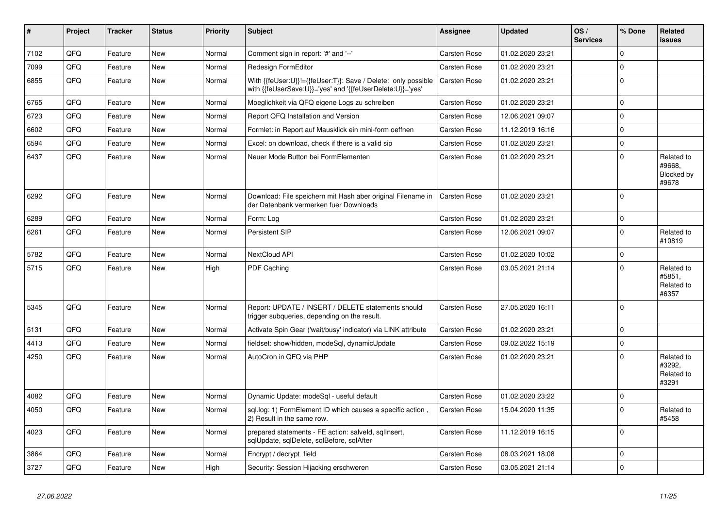| #    | Project | <b>Tracker</b> | <b>Status</b> | <b>Priority</b> | <b>Subject</b>                                                                                                             | Assignee            | <b>Updated</b>   | OS/<br><b>Services</b> | % Done      | Related<br><b>issues</b>                    |
|------|---------|----------------|---------------|-----------------|----------------------------------------------------------------------------------------------------------------------------|---------------------|------------------|------------------------|-------------|---------------------------------------------|
| 7102 | QFQ     | Feature        | <b>New</b>    | Normal          | Comment sign in report: '#' and '--'                                                                                       | <b>Carsten Rose</b> | 01.02.2020 23:21 |                        | $\Omega$    |                                             |
| 7099 | QFQ     | Feature        | <b>New</b>    | Normal          | Redesign FormEditor                                                                                                        | <b>Carsten Rose</b> | 01.02.2020 23:21 |                        | $\mathbf 0$ |                                             |
| 6855 | QFQ     | Feature        | <b>New</b>    | Normal          | With {{feUser:U}}!={{feUser:T}}: Save / Delete: only possible<br>with {{feUserSave:U}}='yes' and '{{feUserDelete:U}}='yes' | Carsten Rose        | 01.02.2020 23:21 |                        | $\mathbf 0$ |                                             |
| 6765 | QFQ     | Feature        | <b>New</b>    | Normal          | Moeglichkeit via QFQ eigene Logs zu schreiben                                                                              | Carsten Rose        | 01.02.2020 23:21 |                        | $\Omega$    |                                             |
| 6723 | QFQ     | Feature        | <b>New</b>    | Normal          | Report QFQ Installation and Version                                                                                        | Carsten Rose        | 12.06.2021 09:07 |                        | $\mathbf 0$ |                                             |
| 6602 | QFQ     | Feature        | <b>New</b>    | Normal          | Formlet: in Report auf Mausklick ein mini-form oeffnen                                                                     | <b>Carsten Rose</b> | 11.12.2019 16:16 |                        | $\mathbf 0$ |                                             |
| 6594 | QFQ     | Feature        | <b>New</b>    | Normal          | Excel: on download, check if there is a valid sip                                                                          | <b>Carsten Rose</b> | 01.02.2020 23:21 |                        | $\mathbf 0$ |                                             |
| 6437 | QFQ     | Feature        | New           | Normal          | Neuer Mode Button bei FormElementen                                                                                        | <b>Carsten Rose</b> | 01.02.2020 23:21 |                        | $\Omega$    | Related to<br>#9668,<br>Blocked by<br>#9678 |
| 6292 | QFQ     | Feature        | <b>New</b>    | Normal          | Download: File speichern mit Hash aber original Filename in<br>der Datenbank vermerken fuer Downloads                      | Carsten Rose        | 01.02.2020 23:21 |                        | $\Omega$    |                                             |
| 6289 | QFQ     | Feature        | <b>New</b>    | Normal          | Form: Log                                                                                                                  | Carsten Rose        | 01.02.2020 23:21 |                        | $\pmb{0}$   |                                             |
| 6261 | QFQ     | Feature        | <b>New</b>    | Normal          | Persistent SIP                                                                                                             | <b>Carsten Rose</b> | 12.06.2021 09:07 |                        | $\Omega$    | Related to<br>#10819                        |
| 5782 | QFQ     | Feature        | <b>New</b>    | Normal          | NextCloud API                                                                                                              | Carsten Rose        | 01.02.2020 10:02 |                        | $\mathbf 0$ |                                             |
| 5715 | QFQ     | Feature        | <b>New</b>    | High            | PDF Caching                                                                                                                | <b>Carsten Rose</b> | 03.05.2021 21:14 |                        | $\mathbf 0$ | Related to<br>#5851,<br>Related to<br>#6357 |
| 5345 | QFQ     | Feature        | <b>New</b>    | Normal          | Report: UPDATE / INSERT / DELETE statements should<br>trigger subqueries, depending on the result.                         | Carsten Rose        | 27.05.2020 16:11 |                        | $\Omega$    |                                             |
| 5131 | QFQ     | Feature        | <b>New</b>    | Normal          | Activate Spin Gear ('wait/busy' indicator) via LINK attribute                                                              | Carsten Rose        | 01.02.2020 23:21 |                        | $\mathbf 0$ |                                             |
| 4413 | QFQ     | Feature        | New           | Normal          | fieldset: show/hidden, modeSql, dynamicUpdate                                                                              | Carsten Rose        | 09.02.2022 15:19 |                        | $\pmb{0}$   |                                             |
| 4250 | QFQ     | Feature        | <b>New</b>    | Normal          | AutoCron in QFQ via PHP                                                                                                    | <b>Carsten Rose</b> | 01.02.2020 23:21 |                        | $\mathbf 0$ | Related to<br>#3292,<br>Related to<br>#3291 |
| 4082 | QFQ     | Feature        | <b>New</b>    | Normal          | Dynamic Update: modeSql - useful default                                                                                   | <b>Carsten Rose</b> | 01.02.2020 23:22 |                        | $\mathbf 0$ |                                             |
| 4050 | QFQ     | Feature        | <b>New</b>    | Normal          | sql.log: 1) FormElement ID which causes a specific action,<br>2) Result in the same row.                                   | Carsten Rose        | 15.04.2020 11:35 |                        | $\Omega$    | Related to<br>#5458                         |
| 4023 | QFQ     | Feature        | <b>New</b>    | Normal          | prepared statements - FE action: salveld, sqllnsert,<br>sqlUpdate, sqlDelete, sqlBefore, sqlAfter                          | <b>Carsten Rose</b> | 11.12.2019 16:15 |                        | $\mathbf 0$ |                                             |
| 3864 | QFQ     | Feature        | New           | Normal          | Encrypt / decrypt field                                                                                                    | <b>Carsten Rose</b> | 08.03.2021 18:08 |                        | $\mathbf 0$ |                                             |
| 3727 | QFQ     | Feature        | New           | High            | Security: Session Hijacking erschweren                                                                                     | Carsten Rose        | 03.05.2021 21:14 |                        | $\mathbf 0$ |                                             |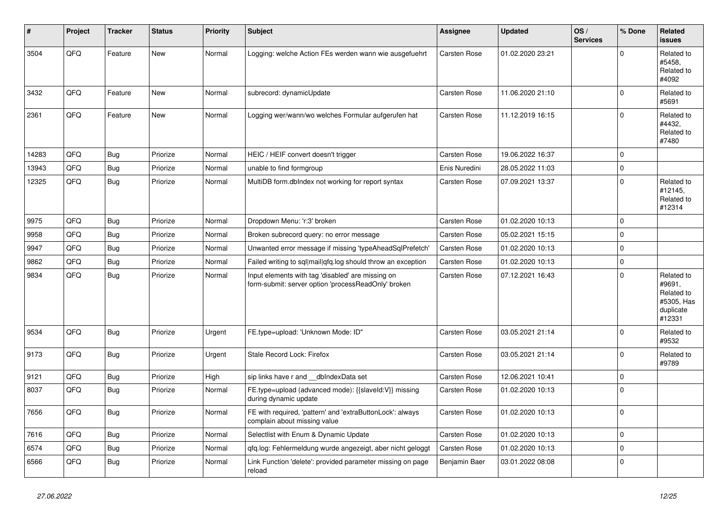| ∦     | Project | <b>Tracker</b> | <b>Status</b> | <b>Priority</b> | <b>Subject</b>                                                                                           | <b>Assignee</b>     | <b>Updated</b>   | OS/<br><b>Services</b> | % Done              | <b>Related</b><br><b>issues</b>                                         |
|-------|---------|----------------|---------------|-----------------|----------------------------------------------------------------------------------------------------------|---------------------|------------------|------------------------|---------------------|-------------------------------------------------------------------------|
| 3504  | QFQ     | Feature        | New           | Normal          | Logging: welche Action FEs werden wann wie ausgefuehrt                                                   | Carsten Rose        | 01.02.2020 23:21 |                        | $\Omega$            | Related to<br>#5458.<br>Related to<br>#4092                             |
| 3432  | QFQ     | Feature        | <b>New</b>    | Normal          | subrecord: dynamicUpdate                                                                                 | Carsten Rose        | 11.06.2020 21:10 |                        | $\mathbf 0$         | Related to<br>#5691                                                     |
| 2361  | QFQ     | Feature        | New           | Normal          | Logging wer/wann/wo welches Formular aufgerufen hat                                                      | Carsten Rose        | 11.12.2019 16:15 |                        | $\Omega$            | Related to<br>#4432,<br>Related to<br>#7480                             |
| 14283 | QFQ     | <b>Bug</b>     | Priorize      | Normal          | HEIC / HEIF convert doesn't trigger                                                                      | <b>Carsten Rose</b> | 19.06.2022 16:37 |                        | $\mathbf 0$         |                                                                         |
| 13943 | QFQ     | <b>Bug</b>     | Priorize      | Normal          | unable to find formgroup                                                                                 | Enis Nuredini       | 28.05.2022 11:03 |                        | $\mathbf 0$         |                                                                         |
| 12325 | QFQ     | Bug            | Priorize      | Normal          | MultiDB form.dblndex not working for report syntax                                                       | Carsten Rose        | 07.09.2021 13:37 |                        | $\Omega$            | Related to<br>#12145,<br>Related to<br>#12314                           |
| 9975  | QFQ     | Bug            | Priorize      | Normal          | Dropdown Menu: 'r:3' broken                                                                              | <b>Carsten Rose</b> | 01.02.2020 10:13 |                        | $\mathbf 0$         |                                                                         |
| 9958  | QFQ     | <b>Bug</b>     | Priorize      | Normal          | Broken subrecord query: no error message                                                                 | Carsten Rose        | 05.02.2021 15:15 |                        | $\mathbf 0$         |                                                                         |
| 9947  | QFQ     | Bug            | Priorize      | Normal          | Unwanted error message if missing 'typeAheadSqlPrefetch'                                                 | Carsten Rose        | 01.02.2020 10:13 |                        | $\mathbf 0$         |                                                                         |
| 9862  | QFQ     | Bug            | Priorize      | Normal          | Failed writing to sql mail qfq.log should throw an exception                                             | Carsten Rose        | 01.02.2020 10:13 |                        | $\mathsf{O}\xspace$ |                                                                         |
| 9834  | QFQ     | Bug            | Priorize      | Normal          | Input elements with tag 'disabled' are missing on<br>form-submit: server option 'processReadOnly' broken | Carsten Rose        | 07.12.2021 16:43 |                        | $\Omega$            | Related to<br>#9691,<br>Related to<br>#5305, Has<br>duplicate<br>#12331 |
| 9534  | QFQ     | <b>Bug</b>     | Priorize      | Urgent          | FE.type=upload: 'Unknown Mode: ID"                                                                       | <b>Carsten Rose</b> | 03.05.2021 21:14 |                        | $\mathbf 0$         | Related to<br>#9532                                                     |
| 9173  | QFQ     | Bug            | Priorize      | Urgent          | Stale Record Lock: Firefox                                                                               | <b>Carsten Rose</b> | 03.05.2021 21:14 |                        | $\mathbf 0$         | Related to<br>#9789                                                     |
| 9121  | QFQ     | Bug            | Priorize      | High            | sip links have r and __dbIndexData set                                                                   | Carsten Rose        | 12.06.2021 10:41 |                        | $\mathbf 0$         |                                                                         |
| 8037  | QFQ     | Bug            | Priorize      | Normal          | FE.type=upload (advanced mode): {{slaveId:V}} missing<br>during dynamic update                           | Carsten Rose        | 01.02.2020 10:13 |                        | $\mathbf 0$         |                                                                         |
| 7656  | QFQ     | Bug            | Priorize      | Normal          | FE with required, 'pattern' and 'extraButtonLock': always<br>complain about missing value                | Carsten Rose        | 01.02.2020 10:13 |                        | $\Omega$            |                                                                         |
| 7616  | QFQ     | Bug            | Priorize      | Normal          | Selectlist with Enum & Dynamic Update                                                                    | <b>Carsten Rose</b> | 01.02.2020 10:13 |                        | $\mathbf 0$         |                                                                         |
| 6574  | QFQ     | Bug            | Priorize      | Normal          | qfq.log: Fehlermeldung wurde angezeigt, aber nicht geloggt                                               | Carsten Rose        | 01.02.2020 10:13 |                        | $\mathbf 0$         |                                                                         |
| 6566  | QFQ     | Bug            | Priorize      | Normal          | Link Function 'delete': provided parameter missing on page<br>reload                                     | Benjamin Baer       | 03.01.2022 08:08 |                        | $\mathbf 0$         |                                                                         |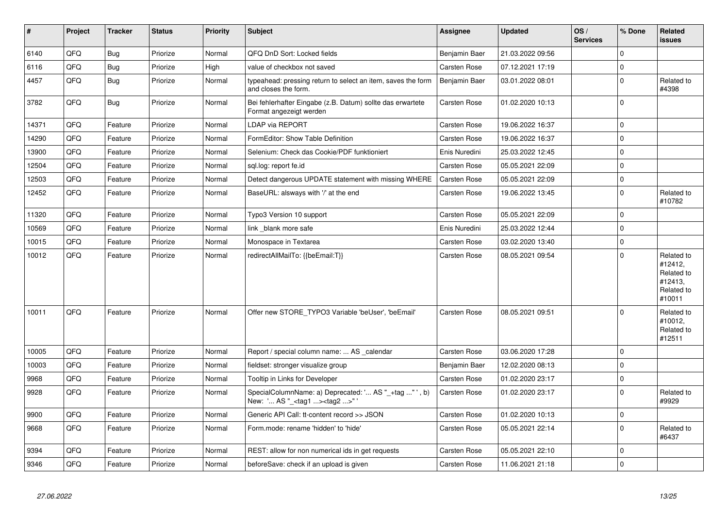| #     | Project | <b>Tracker</b> | <b>Status</b> | <b>Priority</b> | <b>Subject</b>                                                                                      | Assignee            | <b>Updated</b>   | OS/<br><b>Services</b> | % Done         | Related<br><b>issues</b>                                               |
|-------|---------|----------------|---------------|-----------------|-----------------------------------------------------------------------------------------------------|---------------------|------------------|------------------------|----------------|------------------------------------------------------------------------|
| 6140  | QFQ     | Bug            | Priorize      | Normal          | QFQ DnD Sort: Locked fields                                                                         | Benjamin Baer       | 21.03.2022 09:56 |                        | $\mathbf 0$    |                                                                        |
| 6116  | QFQ     | <b>Bug</b>     | Priorize      | High            | value of checkbox not saved                                                                         | Carsten Rose        | 07.12.2021 17:19 |                        | $\mathbf 0$    |                                                                        |
| 4457  | QFQ     | Bug            | Priorize      | Normal          | typeahead: pressing return to select an item, saves the form<br>and closes the form.                | Benjamin Baer       | 03.01.2022 08:01 |                        | $\mathbf 0$    | Related to<br>#4398                                                    |
| 3782  | QFQ     | Bug            | Priorize      | Normal          | Bei fehlerhafter Eingabe (z.B. Datum) sollte das erwartete<br>Format angezeigt werden               | <b>Carsten Rose</b> | 01.02.2020 10:13 |                        | $\overline{0}$ |                                                                        |
| 14371 | QFQ     | Feature        | Priorize      | Normal          | LDAP via REPORT                                                                                     | <b>Carsten Rose</b> | 19.06.2022 16:37 |                        | $\mathbf 0$    |                                                                        |
| 14290 | QFQ     | Feature        | Priorize      | Normal          | FormEditor: Show Table Definition                                                                   | <b>Carsten Rose</b> | 19.06.2022 16:37 |                        | $\pmb{0}$      |                                                                        |
| 13900 | QFQ     | Feature        | Priorize      | Normal          | Selenium: Check das Cookie/PDF funktioniert                                                         | Enis Nuredini       | 25.03.2022 12:45 |                        | $\overline{0}$ |                                                                        |
| 12504 | QFQ     | Feature        | Priorize      | Normal          | sql.log: report fe.id                                                                               | <b>Carsten Rose</b> | 05.05.2021 22:09 |                        | $\overline{0}$ |                                                                        |
| 12503 | QFQ     | Feature        | Priorize      | Normal          | Detect dangerous UPDATE statement with missing WHERE                                                | <b>Carsten Rose</b> | 05.05.2021 22:09 |                        | $\overline{0}$ |                                                                        |
| 12452 | QFQ     | Feature        | Priorize      | Normal          | BaseURL: alsways with '/' at the end                                                                | <b>Carsten Rose</b> | 19.06.2022 13:45 |                        | $\mathbf 0$    | Related to<br>#10782                                                   |
| 11320 | QFQ     | Feature        | Priorize      | Normal          | Typo3 Version 10 support                                                                            | <b>Carsten Rose</b> | 05.05.2021 22:09 |                        | $\overline{0}$ |                                                                        |
| 10569 | QFQ     | Feature        | Priorize      | Normal          | link blank more safe                                                                                | Enis Nuredini       | 25.03.2022 12:44 |                        | $\mathbf 0$    |                                                                        |
| 10015 | QFQ     | Feature        | Priorize      | Normal          | Monospace in Textarea                                                                               | <b>Carsten Rose</b> | 03.02.2020 13:40 |                        | $\mathbf 0$    |                                                                        |
| 10012 | QFQ     | Feature        | Priorize      | Normal          | redirectAllMailTo: {{beEmail:T}}                                                                    | <b>Carsten Rose</b> | 08.05.2021 09:54 |                        | $\overline{0}$ | Related to<br>#12412,<br>Related to<br>#12413,<br>Related to<br>#10011 |
| 10011 | QFQ     | Feature        | Priorize      | Normal          | Offer new STORE TYPO3 Variable 'beUser', 'beEmail'                                                  | <b>Carsten Rose</b> | 08.05.2021 09:51 |                        | $\mathbf 0$    | Related to<br>#10012,<br>Related to<br>#12511                          |
| 10005 | QFQ     | Feature        | Priorize      | Normal          | Report / special column name:  AS _calendar                                                         | Carsten Rose        | 03.06.2020 17:28 |                        | $\overline{0}$ |                                                                        |
| 10003 | QFQ     | Feature        | Priorize      | Normal          | fieldset: stronger visualize group                                                                  | Benjamin Baer       | 12.02.2020 08:13 |                        | $\mathbf 0$    |                                                                        |
| 9968  | QFQ     | Feature        | Priorize      | Normal          | Tooltip in Links for Developer                                                                      | <b>Carsten Rose</b> | 01.02.2020 23:17 |                        | $\overline{0}$ |                                                                        |
| 9928  | QFQ     | Feature        | Priorize      | Normal          | SpecialColumnName: a) Deprecated: ' AS "_+tag " ', b)<br>New: ' AS "_ <tag1><tag2>" '</tag2></tag1> | Carsten Rose        | 01.02.2020 23:17 |                        | $\mathbf 0$    | Related to<br>#9929                                                    |
| 9900  | QFQ     | Feature        | Priorize      | Normal          | Generic API Call: tt-content record >> JSON                                                         | Carsten Rose        | 01.02.2020 10:13 |                        | $\overline{0}$ |                                                                        |
| 9668  | QFQ     | Feature        | Priorize      | Normal          | Form.mode: rename 'hidden' to 'hide'                                                                | <b>Carsten Rose</b> | 05.05.2021 22:14 |                        | $\mathbf 0$    | Related to<br>#6437                                                    |
| 9394  | QFQ     | Feature        | Priorize      | Normal          | REST: allow for non numerical ids in get requests                                                   | Carsten Rose        | 05.05.2021 22:10 |                        | $\mathbf 0$    |                                                                        |
| 9346  | QFQ     | Feature        | Priorize      | Normal          | beforeSave: check if an upload is given                                                             | Carsten Rose        | 11.06.2021 21:18 |                        | $\overline{0}$ |                                                                        |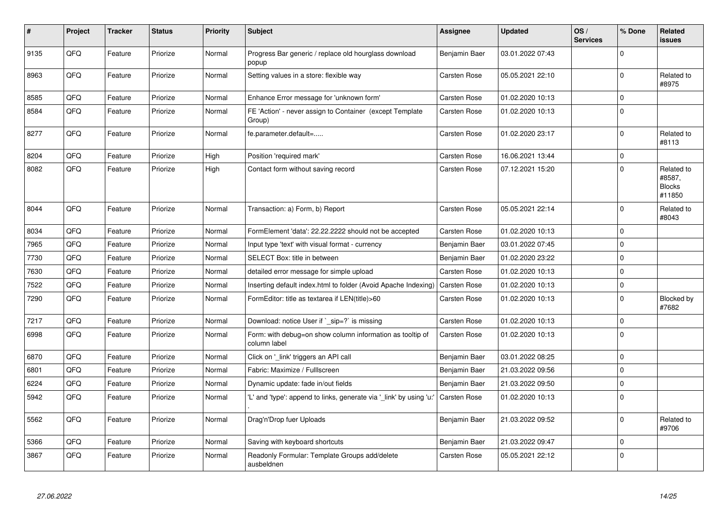| #    | Project | <b>Tracker</b> | <b>Status</b> | <b>Priority</b> | <b>Subject</b>                                                            | <b>Assignee</b>     | <b>Updated</b>   | OS/<br><b>Services</b> | % Done      | <b>Related</b><br><b>issues</b>                 |
|------|---------|----------------|---------------|-----------------|---------------------------------------------------------------------------|---------------------|------------------|------------------------|-------------|-------------------------------------------------|
| 9135 | QFQ     | Feature        | Priorize      | Normal          | Progress Bar generic / replace old hourglass download<br>popup            | Benjamin Baer       | 03.01.2022 07:43 |                        | $\mathbf 0$ |                                                 |
| 8963 | QFQ     | Feature        | Priorize      | Normal          | Setting values in a store: flexible way                                   | <b>Carsten Rose</b> | 05.05.2021 22:10 |                        | $\mathbf 0$ | Related to<br>#8975                             |
| 8585 | QFQ     | Feature        | Priorize      | Normal          | Enhance Error message for 'unknown form'                                  | <b>Carsten Rose</b> | 01.02.2020 10:13 |                        | $\mathbf 0$ |                                                 |
| 8584 | QFQ     | Feature        | Priorize      | Normal          | FE 'Action' - never assign to Container (except Template<br>Group)        | Carsten Rose        | 01.02.2020 10:13 |                        | $\Omega$    |                                                 |
| 8277 | QFQ     | Feature        | Priorize      | Normal          | fe.parameter.default=                                                     | Carsten Rose        | 01.02.2020 23:17 |                        | $\mathbf 0$ | Related to<br>#8113                             |
| 8204 | QFQ     | Feature        | Priorize      | High            | Position 'required mark'                                                  | <b>Carsten Rose</b> | 16.06.2021 13:44 |                        | $\mathbf 0$ |                                                 |
| 8082 | QFQ     | Feature        | Priorize      | High            | Contact form without saving record                                        | Carsten Rose        | 07.12.2021 15:20 |                        | $\Omega$    | Related to<br>#8587,<br><b>Blocks</b><br>#11850 |
| 8044 | QFQ     | Feature        | Priorize      | Normal          | Transaction: a) Form, b) Report                                           | Carsten Rose        | 05.05.2021 22:14 |                        | $\Omega$    | Related to<br>#8043                             |
| 8034 | QFQ     | Feature        | Priorize      | Normal          | FormElement 'data': 22.22.2222 should not be accepted                     | Carsten Rose        | 01.02.2020 10:13 |                        | $\mathbf 0$ |                                                 |
| 7965 | QFQ     | Feature        | Priorize      | Normal          | Input type 'text' with visual format - currency                           | Benjamin Baer       | 03.01.2022 07:45 |                        | $\mathbf 0$ |                                                 |
| 7730 | QFQ     | Feature        | Priorize      | Normal          | <b>SELECT Box: title in between</b>                                       | Benjamin Baer       | 01.02.2020 23:22 |                        | $\mathbf 0$ |                                                 |
| 7630 | QFQ     | Feature        | Priorize      | Normal          | detailed error message for simple upload                                  | <b>Carsten Rose</b> | 01.02.2020 10:13 |                        | $\mathbf 0$ |                                                 |
| 7522 | QFQ     | Feature        | Priorize      | Normal          | Inserting default index.html to folder (Avoid Apache Indexing)            | <b>Carsten Rose</b> | 01.02.2020 10:13 |                        | $\mathbf 0$ |                                                 |
| 7290 | QFQ     | Feature        | Priorize      | Normal          | FormEditor: title as textarea if LEN(title)>60                            | Carsten Rose        | 01.02.2020 10:13 |                        | $\mathbf 0$ | Blocked by<br>#7682                             |
| 7217 | QFQ     | Feature        | Priorize      | Normal          | Download: notice User if `_sip=?` is missing                              | <b>Carsten Rose</b> | 01.02.2020 10:13 |                        | $\Omega$    |                                                 |
| 6998 | QFQ     | Feature        | Priorize      | Normal          | Form: with debug=on show column information as tooltip of<br>column label | <b>Carsten Rose</b> | 01.02.2020 10:13 |                        | $\mathbf 0$ |                                                 |
| 6870 | QFQ     | Feature        | Priorize      | Normal          | Click on '_link' triggers an API call                                     | Benjamin Baer       | 03.01.2022 08:25 |                        | $\mathbf 0$ |                                                 |
| 6801 | QFQ     | Feature        | Priorize      | Normal          | Fabric: Maximize / Fulllscreen                                            | Benjamin Baer       | 21.03.2022 09:56 |                        | $\mathbf 0$ |                                                 |
| 6224 | QFQ     | Feature        | Priorize      | Normal          | Dynamic update: fade in/out fields                                        | Benjamin Baer       | 21.03.2022 09:50 |                        | $\mathbf 0$ |                                                 |
| 5942 | QFQ     | Feature        | Priorize      | Normal          | 'L' and 'type': append to links, generate via '_link' by using 'u:        | Carsten Rose        | 01.02.2020 10:13 |                        | $\mathbf 0$ |                                                 |
| 5562 | QFQ     | Feature        | Priorize      | Normal          | Drag'n'Drop fuer Uploads                                                  | Benjamin Baer       | 21.03.2022 09:52 |                        | $\Omega$    | Related to<br>#9706                             |
| 5366 | QFQ     | Feature        | Priorize      | Normal          | Saving with keyboard shortcuts                                            | Benjamin Baer       | 21.03.2022 09:47 |                        | $\mathbf 0$ |                                                 |
| 3867 | QFQ     | Feature        | Priorize      | Normal          | Readonly Formular: Template Groups add/delete<br>ausbeldnen               | Carsten Rose        | 05.05.2021 22:12 |                        | $\mathbf 0$ |                                                 |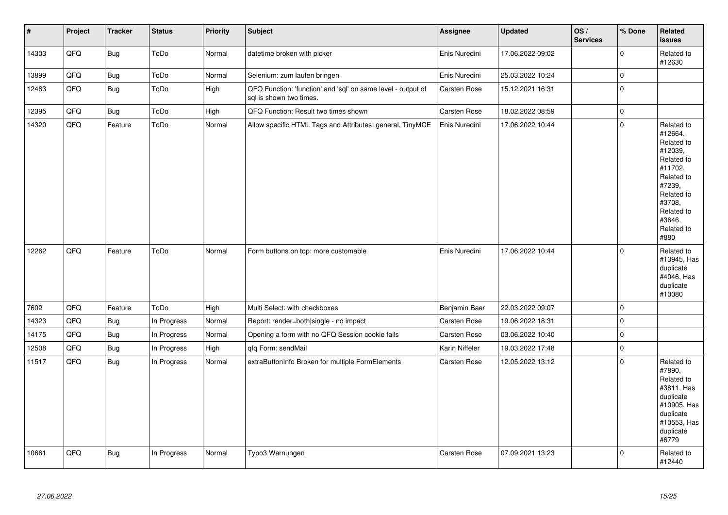| $\vert$ # | Project | <b>Tracker</b> | <b>Status</b> | <b>Priority</b> | Subject                                                                                 | Assignee            | <b>Updated</b>   | OS/<br><b>Services</b> | % Done      | Related<br>issues                                                                                                                                                     |
|-----------|---------|----------------|---------------|-----------------|-----------------------------------------------------------------------------------------|---------------------|------------------|------------------------|-------------|-----------------------------------------------------------------------------------------------------------------------------------------------------------------------|
| 14303     | QFQ     | <b>Bug</b>     | ToDo          | Normal          | datetime broken with picker                                                             | Enis Nuredini       | 17.06.2022 09:02 |                        | $\mathbf 0$ | Related to<br>#12630                                                                                                                                                  |
| 13899     | QFQ     | Bug            | ToDo          | Normal          | Selenium: zum laufen bringen                                                            | Enis Nuredini       | 25.03.2022 10:24 |                        | $\pmb{0}$   |                                                                                                                                                                       |
| 12463     | QFQ     | <b>Bug</b>     | ToDo          | High            | QFQ Function: 'function' and 'sql' on same level - output of<br>sql is shown two times. | Carsten Rose        | 15.12.2021 16:31 |                        | $\pmb{0}$   |                                                                                                                                                                       |
| 12395     | QFQ     | <b>Bug</b>     | ToDo          | High            | QFQ Function: Result two times shown                                                    | Carsten Rose        | 18.02.2022 08:59 |                        | $\pmb{0}$   |                                                                                                                                                                       |
| 14320     | QFQ     | Feature        | ToDo          | Normal          | Allow specific HTML Tags and Attributes: general, TinyMCE                               | Enis Nuredini       | 17.06.2022 10:44 |                        | $\pmb{0}$   | Related to<br>#12664,<br>Related to<br>#12039.<br>Related to<br>#11702,<br>Related to<br>#7239,<br>Related to<br>#3708,<br>Related to<br>#3646,<br>Related to<br>#880 |
| 12262     | QFQ     | Feature        | ToDo          | Normal          | Form buttons on top: more customable                                                    | Enis Nuredini       | 17.06.2022 10:44 |                        | $\mathbf 0$ | Related to<br>#13945, Has<br>duplicate<br>#4046, Has<br>duplicate<br>#10080                                                                                           |
| 7602      | QFQ     | Feature        | ToDo          | High            | Multi Select: with checkboxes                                                           | Benjamin Baer       | 22.03.2022 09:07 |                        | $\pmb{0}$   |                                                                                                                                                                       |
| 14323     | QFQ     | Bug            | In Progress   | Normal          | Report: render=both single - no impact                                                  | Carsten Rose        | 19.06.2022 18:31 |                        | $\pmb{0}$   |                                                                                                                                                                       |
| 14175     | QFQ     | <b>Bug</b>     | In Progress   | Normal          | Opening a form with no QFQ Session cookie fails                                         | Carsten Rose        | 03.06.2022 10:40 |                        | $\pmb{0}$   |                                                                                                                                                                       |
| 12508     | QFQ     | Bug            | In Progress   | High            | qfq Form: sendMail                                                                      | Karin Niffeler      | 19.03.2022 17:48 |                        | $\pmb{0}$   |                                                                                                                                                                       |
| 11517     | QFQ     | Bug            | In Progress   | Normal          | extraButtonInfo Broken for multiple FormElements                                        | <b>Carsten Rose</b> | 12.05.2022 13:12 |                        | $\pmb{0}$   | Related to<br>#7890,<br>Related to<br>#3811, Has<br>duplicate<br>#10905, Has<br>duplicate<br>#10553, Has<br>duplicate<br>#6779                                        |
| 10661     | QFQ     | Bug            | In Progress   | Normal          | Typo3 Warnungen                                                                         | Carsten Rose        | 07.09.2021 13:23 |                        | $\pmb{0}$   | Related to<br>#12440                                                                                                                                                  |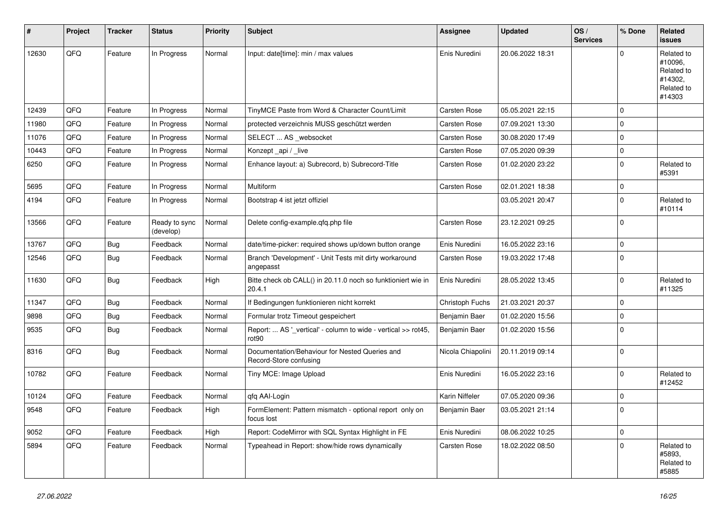| #     | Project | <b>Tracker</b> | <b>Status</b>              | <b>Priority</b> | Subject                                                                            | Assignee          | <b>Updated</b>   | OS/<br><b>Services</b> | % Done      | Related<br><b>issues</b>                                               |
|-------|---------|----------------|----------------------------|-----------------|------------------------------------------------------------------------------------|-------------------|------------------|------------------------|-------------|------------------------------------------------------------------------|
| 12630 | QFQ     | Feature        | In Progress                | Normal          | Input: date[time]: min / max values                                                | Enis Nuredini     | 20.06.2022 18:31 |                        | $\Omega$    | Related to<br>#10096,<br>Related to<br>#14302,<br>Related to<br>#14303 |
| 12439 | QFQ     | Feature        | In Progress                | Normal          | TinyMCE Paste from Word & Character Count/Limit                                    | Carsten Rose      | 05.05.2021 22:15 |                        | $\mathbf 0$ |                                                                        |
| 11980 | QFQ     | Feature        | In Progress                | Normal          | protected verzeichnis MUSS geschützt werden                                        | Carsten Rose      | 07.09.2021 13:30 |                        | $\mathbf 0$ |                                                                        |
| 11076 | QFQ     | Feature        | In Progress                | Normal          | SELECT  AS _websocket                                                              | Carsten Rose      | 30.08.2020 17:49 |                        | $\Omega$    |                                                                        |
| 10443 | QFQ     | Feature        | In Progress                | Normal          | Konzept_api / _live                                                                | Carsten Rose      | 07.05.2020 09:39 |                        | $\mathbf 0$ |                                                                        |
| 6250  | QFQ     | Feature        | In Progress                | Normal          | Enhance layout: a) Subrecord, b) Subrecord-Title                                   | Carsten Rose      | 01.02.2020 23:22 |                        | $\mathbf 0$ | Related to<br>#5391                                                    |
| 5695  | QFQ     | Feature        | In Progress                | Normal          | <b>Multiform</b>                                                                   | Carsten Rose      | 02.01.2021 18:38 |                        | $\mathbf 0$ |                                                                        |
| 4194  | QFQ     | Feature        | In Progress                | Normal          | Bootstrap 4 ist jetzt offiziel                                                     |                   | 03.05.2021 20:47 |                        | $\mathbf 0$ | Related to<br>#10114                                                   |
| 13566 | QFQ     | Feature        | Ready to sync<br>(develop) | Normal          | Delete config-example.qfq.php file                                                 | Carsten Rose      | 23.12.2021 09:25 |                        | $\mathbf 0$ |                                                                        |
| 13767 | QFQ     | Bug            | Feedback                   | Normal          | date/time-picker: required shows up/down button orange                             | Enis Nuredini     | 16.05.2022 23:16 |                        | $\mathbf 0$ |                                                                        |
| 12546 | QFQ     | Bug            | Feedback                   | Normal          | Branch 'Development' - Unit Tests mit dirty workaround<br>angepasst                | Carsten Rose      | 19.03.2022 17:48 |                        | $\Omega$    |                                                                        |
| 11630 | QFQ     | Bug            | Feedback                   | High            | Bitte check ob CALL() in 20.11.0 noch so funktioniert wie in<br>20.4.1             | Enis Nuredini     | 28.05.2022 13:45 |                        | 0           | Related to<br>#11325                                                   |
| 11347 | QFQ     | Bug            | Feedback                   | Normal          | If Bedingungen funktionieren nicht korrekt                                         | Christoph Fuchs   | 21.03.2021 20:37 |                        | $\mathbf 0$ |                                                                        |
| 9898  | QFQ     | Bug            | Feedback                   | Normal          | Formular trotz Timeout gespeichert                                                 | Benjamin Baer     | 01.02.2020 15:56 |                        | $\mathbf 0$ |                                                                        |
| 9535  | QFQ     | <b>Bug</b>     | Feedback                   | Normal          | Report:  AS '_vertical' - column to wide - vertical >> rot45,<br>rot <sub>90</sub> | Benjamin Baer     | 01.02.2020 15:56 |                        | $\Omega$    |                                                                        |
| 8316  | QFQ     | Bug            | Feedback                   | Normal          | Documentation/Behaviour for Nested Queries and<br>Record-Store confusing           | Nicola Chiapolini | 20.11.2019 09:14 |                        | $\Omega$    |                                                                        |
| 10782 | QFQ     | Feature        | Feedback                   | Normal          | Tiny MCE: Image Upload                                                             | Enis Nuredini     | 16.05.2022 23:16 |                        | $\mathbf 0$ | Related to<br>#12452                                                   |
| 10124 | QFQ     | Feature        | Feedback                   | Normal          | qfq AAI-Login                                                                      | Karin Niffeler    | 07.05.2020 09:36 |                        | $\mathbf 0$ |                                                                        |
| 9548  | QFQ     | Feature        | Feedback                   | High            | FormElement: Pattern mismatch - optional report only on<br>focus lost              | Benjamin Baer     | 03.05.2021 21:14 |                        | $\mathbf 0$ |                                                                        |
| 9052  | QFQ     | Feature        | Feedback                   | High            | Report: CodeMirror with SQL Syntax Highlight in FE                                 | Enis Nuredini     | 08.06.2022 10:25 |                        | $\mathbf 0$ |                                                                        |
| 5894  | QFQ     | Feature        | Feedback                   | Normal          | Typeahead in Report: show/hide rows dynamically                                    | Carsten Rose      | 18.02.2022 08:50 |                        | $\mathbf 0$ | Related to<br>#5893,<br>Related to<br>#5885                            |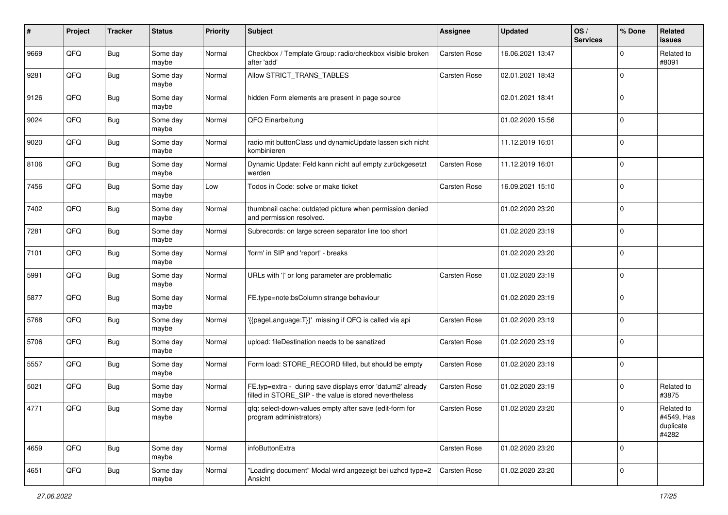| #    | Project | <b>Tracker</b> | <b>Status</b>     | <b>Priority</b> | <b>Subject</b>                                                                                                       | <b>Assignee</b>     | <b>Updated</b>   | OS/<br><b>Services</b> | % Done       | Related<br><b>issues</b>                       |
|------|---------|----------------|-------------------|-----------------|----------------------------------------------------------------------------------------------------------------------|---------------------|------------------|------------------------|--------------|------------------------------------------------|
| 9669 | QFQ     | <b>Bug</b>     | Some day<br>maybe | Normal          | Checkbox / Template Group: radio/checkbox visible broken<br>after 'add'                                              | <b>Carsten Rose</b> | 16.06.2021 13:47 |                        | $\Omega$     | Related to<br>#8091                            |
| 9281 | QFQ     | Bug            | Some day<br>maybe | Normal          | Allow STRICT TRANS TABLES                                                                                            | Carsten Rose        | 02.01.2021 18:43 |                        | $\mathbf 0$  |                                                |
| 9126 | QFQ     | <b>Bug</b>     | Some day<br>maybe | Normal          | hidden Form elements are present in page source                                                                      |                     | 02.01.2021 18:41 |                        | $\Omega$     |                                                |
| 9024 | QFQ     | <b>Bug</b>     | Some day<br>maybe | Normal          | QFQ Einarbeitung                                                                                                     |                     | 01.02.2020 15:56 |                        | $\mathbf 0$  |                                                |
| 9020 | QFQ     | <b>Bug</b>     | Some day<br>maybe | Normal          | radio mit buttonClass und dynamicUpdate lassen sich nicht<br>kombinieren                                             |                     | 11.12.2019 16:01 |                        | $\mathbf 0$  |                                                |
| 8106 | QFQ     | <b>Bug</b>     | Some day<br>maybe | Normal          | Dynamic Update: Feld kann nicht auf empty zurückgesetzt<br>werden                                                    | Carsten Rose        | 11.12.2019 16:01 |                        | $\Omega$     |                                                |
| 7456 | QFQ     | <b>Bug</b>     | Some day<br>maybe | Low             | Todos in Code: solve or make ticket                                                                                  | <b>Carsten Rose</b> | 16.09.2021 15:10 |                        | $\mathbf{0}$ |                                                |
| 7402 | QFQ     | Bug            | Some day<br>maybe | Normal          | thumbnail cache: outdated picture when permission denied<br>and permission resolved.                                 |                     | 01.02.2020 23:20 |                        | $\Omega$     |                                                |
| 7281 | QFQ     | Bug            | Some day<br>maybe | Normal          | Subrecords: on large screen separator line too short                                                                 |                     | 01.02.2020 23:19 |                        | l 0          |                                                |
| 7101 | QFQ     | Bug            | Some day<br>maybe | Normal          | 'form' in SIP and 'report' - breaks                                                                                  |                     | 01.02.2020 23:20 |                        | $\Omega$     |                                                |
| 5991 | QFQ     | Bug            | Some day<br>maybe | Normal          | URLs with ' ' or long parameter are problematic                                                                      | Carsten Rose        | 01.02.2020 23:19 |                        | l 0          |                                                |
| 5877 | QFQ     | <b>Bug</b>     | Some day<br>maybe | Normal          | FE.type=note:bsColumn strange behaviour                                                                              |                     | 01.02.2020 23:19 |                        | $\Omega$     |                                                |
| 5768 | QFQ     | Bug            | Some day<br>maybe | Normal          | '{{pageLanguage:T}}' missing if QFQ is called via api                                                                | Carsten Rose        | 01.02.2020 23:19 |                        | $\Omega$     |                                                |
| 5706 | QFQ     | <b>Bug</b>     | Some day<br>maybe | Normal          | upload: fileDestination needs to be sanatized                                                                        | <b>Carsten Rose</b> | 01.02.2020 23:19 |                        | $\Omega$     |                                                |
| 5557 | QFQ     | <b>Bug</b>     | Some day<br>maybe | Normal          | Form load: STORE_RECORD filled, but should be empty                                                                  | Carsten Rose        | 01.02.2020 23:19 |                        | $\mathbf 0$  |                                                |
| 5021 | QFQ     | <b>Bug</b>     | Some day<br>maybe | Normal          | FE.typ=extra - during save displays error 'datum2' already<br>filled in STORE_SIP - the value is stored nevertheless | Carsten Rose        | 01.02.2020 23:19 |                        | $\mathbf 0$  | Related to<br>#3875                            |
| 4771 | QFQ     | Bug            | Some day<br>maybe | Normal          | gfg: select-down-values empty after save (edit-form for<br>program administrators)                                   | <b>Carsten Rose</b> | 01.02.2020 23:20 |                        | $\Omega$     | Related to<br>#4549, Has<br>duplicate<br>#4282 |
| 4659 | QFQ     | Bug            | Some day<br>maybe | Normal          | infoButtonExtra                                                                                                      | Carsten Rose        | 01.02.2020 23:20 |                        | l 0          |                                                |
| 4651 | QFQ     | <b>Bug</b>     | Some day<br>maybe | Normal          | "Loading document" Modal wird angezeigt bei uzhcd type=2<br>Ansicht                                                  | Carsten Rose        | 01.02.2020 23:20 |                        | 0            |                                                |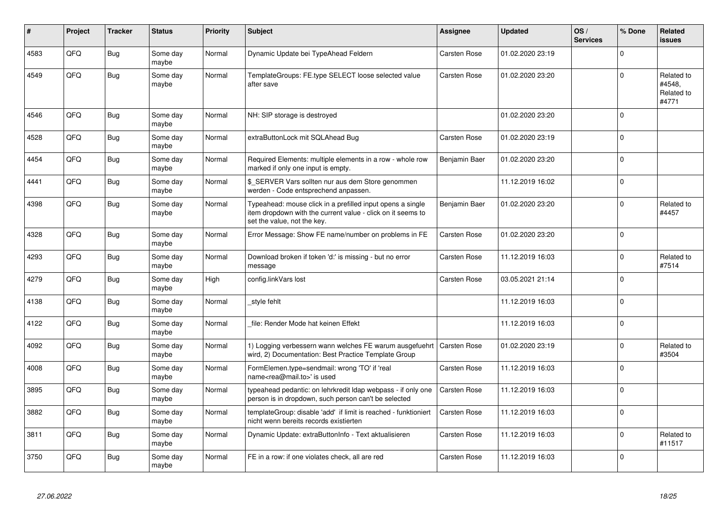| #    | Project | <b>Tracker</b> | <b>Status</b>     | <b>Priority</b> | <b>Subject</b>                                                                                                                                           | Assignee            | <b>Updated</b>   | OS/<br><b>Services</b> | % Done      | Related<br><b>issues</b>                    |
|------|---------|----------------|-------------------|-----------------|----------------------------------------------------------------------------------------------------------------------------------------------------------|---------------------|------------------|------------------------|-------------|---------------------------------------------|
| 4583 | QFQ     | <b>Bug</b>     | Some day<br>maybe | Normal          | Dynamic Update bei TypeAhead Feldern                                                                                                                     | Carsten Rose        | 01.02.2020 23:19 |                        | $\Omega$    |                                             |
| 4549 | QFQ     | <b>Bug</b>     | Some day<br>maybe | Normal          | TemplateGroups: FE.type SELECT loose selected value<br>after save                                                                                        | Carsten Rose        | 01.02.2020 23:20 |                        | $\Omega$    | Related to<br>#4548,<br>Related to<br>#4771 |
| 4546 | QFQ     | <b>Bug</b>     | Some day<br>maybe | Normal          | NH: SIP storage is destroyed                                                                                                                             |                     | 01.02.2020 23:20 |                        | $\Omega$    |                                             |
| 4528 | QFQ     | <b>Bug</b>     | Some day<br>maybe | Normal          | extraButtonLock mit SQLAhead Bug                                                                                                                         | Carsten Rose        | 01.02.2020 23:19 |                        | $\Omega$    |                                             |
| 4454 | QFQ     | <b>Bug</b>     | Some day<br>maybe | Normal          | Required Elements: multiple elements in a row - whole row<br>marked if only one input is empty.                                                          | Benjamin Baer       | 01.02.2020 23:20 |                        | $\Omega$    |                                             |
| 4441 | QFQ     | Bug            | Some day<br>maybe | Normal          | \$ SERVER Vars sollten nur aus dem Store genommen<br>werden - Code entsprechend anpassen.                                                                |                     | 11.12.2019 16:02 |                        | $\Omega$    |                                             |
| 4398 | QFQ     | <b>Bug</b>     | Some day<br>maybe | Normal          | Typeahead: mouse click in a prefilled input opens a single<br>item dropdown with the current value - click on it seems to<br>set the value, not the key. | Benjamin Baer       | 01.02.2020 23:20 |                        | $\Omega$    | Related to<br>#4457                         |
| 4328 | QFQ     | <b>Bug</b>     | Some day<br>maybe | Normal          | Error Message: Show FE name/number on problems in FE                                                                                                     | Carsten Rose        | 01.02.2020 23:20 |                        | $\Omega$    |                                             |
| 4293 | QFQ     | <b>Bug</b>     | Some day<br>maybe | Normal          | Download broken if token 'd:' is missing - but no error<br>message                                                                                       | Carsten Rose        | 11.12.2019 16:03 |                        | $\Omega$    | Related to<br>#7514                         |
| 4279 | QFQ     | <b>Bug</b>     | Some day<br>maybe | High            | config.linkVars lost                                                                                                                                     | Carsten Rose        | 03.05.2021 21:14 |                        | $\Omega$    |                                             |
| 4138 | QFQ     | <b>Bug</b>     | Some day<br>maybe | Normal          | style fehlt                                                                                                                                              |                     | 11.12.2019 16:03 |                        | $\Omega$    |                                             |
| 4122 | QFQ     | <b>Bug</b>     | Some day<br>maybe | Normal          | file: Render Mode hat keinen Effekt                                                                                                                      |                     | 11.12.2019 16:03 |                        | $\Omega$    |                                             |
| 4092 | QFQ     | Bug            | Some day<br>maybe | Normal          | 1) Logging verbessern wann welches FE warum ausgefuehrt   Carsten Rose<br>wird, 2) Documentation: Best Practice Template Group                           |                     | 01.02.2020 23:19 |                        | $\Omega$    | Related to<br>#3504                         |
| 4008 | QFQ     | Bug            | Some day<br>maybe | Normal          | FormElemen.type=sendmail: wrong 'TO' if 'real<br>name <rea@mail.to>' is used</rea@mail.to>                                                               | Carsten Rose        | 11.12.2019 16:03 |                        | $\mathbf 0$ |                                             |
| 3895 | QFQ     | Bug            | Some day<br>maybe | Normal          | typeahead pedantic: on lehrkredit Idap webpass - if only one<br>person is in dropdown, such person can't be selected                                     | <b>Carsten Rose</b> | 11.12.2019 16:03 |                        | $\Omega$    |                                             |
| 3882 | QFQ     | <b>Bug</b>     | Some day<br>maybe | Normal          | templateGroup: disable 'add' if limit is reached - funktioniert<br>nicht wenn bereits records existierten                                                | Carsten Rose        | 11.12.2019 16:03 |                        | $\Omega$    |                                             |
| 3811 | QFQ     | Bug            | Some day<br>maybe | Normal          | Dynamic Update: extraButtonInfo - Text aktualisieren                                                                                                     | Carsten Rose        | 11.12.2019 16:03 |                        | $\Omega$    | Related to<br>#11517                        |
| 3750 | QFQ     | <b>Bug</b>     | Some day<br>maybe | Normal          | FE in a row: if one violates check, all are red                                                                                                          | Carsten Rose        | 11.12.2019 16:03 |                        | $\Omega$    |                                             |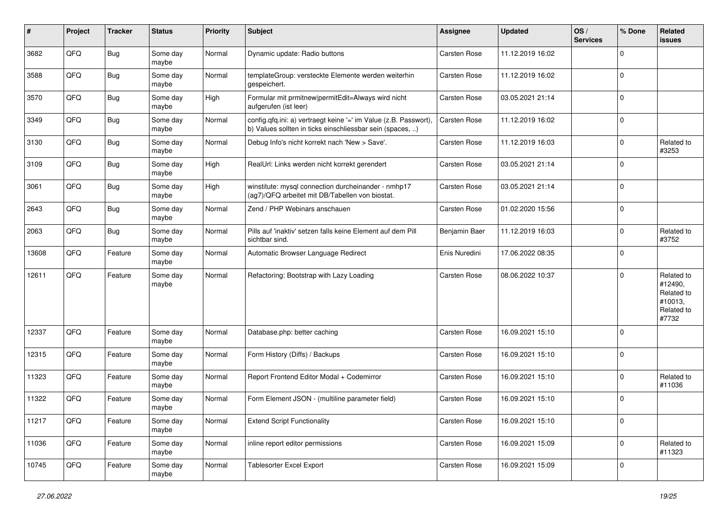| #     | Project | <b>Tracker</b> | <b>Status</b>     | <b>Priority</b> | Subject                                                                                                                       | <b>Assignee</b>     | <b>Updated</b>   | OS/<br><b>Services</b> | % Done      | Related<br>issues                                                     |
|-------|---------|----------------|-------------------|-----------------|-------------------------------------------------------------------------------------------------------------------------------|---------------------|------------------|------------------------|-------------|-----------------------------------------------------------------------|
| 3682  | QFQ     | Bug            | Some day<br>maybe | Normal          | Dynamic update: Radio buttons                                                                                                 | <b>Carsten Rose</b> | 11.12.2019 16:02 |                        | $\mathbf 0$ |                                                                       |
| 3588  | QFQ     | Bug            | Some day<br>maybe | Normal          | templateGroup: versteckte Elemente werden weiterhin<br>gespeichert.                                                           | <b>Carsten Rose</b> | 11.12.2019 16:02 |                        | $\mathbf 0$ |                                                                       |
| 3570  | QFQ     | Bug            | Some day<br>maybe | High            | Formular mit prmitnew permitEdit=Always wird nicht<br>aufgerufen (ist leer)                                                   | Carsten Rose        | 03.05.2021 21:14 |                        | $\mathbf 0$ |                                                                       |
| 3349  | QFQ     | Bug            | Some day<br>maybe | Normal          | config.qfq.ini: a) vertraegt keine '=' im Value (z.B. Passwort),<br>b) Values sollten in ticks einschliessbar sein (spaces, ) | Carsten Rose        | 11.12.2019 16:02 |                        | $\mathbf 0$ |                                                                       |
| 3130  | QFQ     | Bug            | Some day<br>maybe | Normal          | Debug Info's nicht korrekt nach 'New > Save'.                                                                                 | Carsten Rose        | 11.12.2019 16:03 |                        | $\mathbf 0$ | Related to<br>#3253                                                   |
| 3109  | QFQ     | Bug            | Some day<br>maybe | High            | RealUrl: Links werden nicht korrekt gerendert                                                                                 | Carsten Rose        | 03.05.2021 21:14 |                        | $\mathbf 0$ |                                                                       |
| 3061  | QFQ     | Bug            | Some day<br>maybe | High            | winstitute: mysql connection durcheinander - nmhp17<br>(ag7)/QFQ arbeitet mit DB/Tabellen von biostat.                        | Carsten Rose        | 03.05.2021 21:14 |                        | $\pmb{0}$   |                                                                       |
| 2643  | QFQ     | Bug            | Some day<br>maybe | Normal          | Zend / PHP Webinars anschauen                                                                                                 | Carsten Rose        | 01.02.2020 15:56 |                        | $\mathbf 0$ |                                                                       |
| 2063  | QFQ     | Bug            | Some day<br>maybe | Normal          | Pills auf 'inaktiv' setzen falls keine Element auf dem Pill<br>sichtbar sind.                                                 | Benjamin Baer       | 11.12.2019 16:03 |                        | $\mathbf 0$ | Related to<br>#3752                                                   |
| 13608 | QFQ     | Feature        | Some day<br>maybe | Normal          | Automatic Browser Language Redirect                                                                                           | Enis Nuredini       | 17.06.2022 08:35 |                        | $\mathbf 0$ |                                                                       |
| 12611 | QFQ     | Feature        | Some day<br>maybe | Normal          | Refactoring: Bootstrap with Lazy Loading                                                                                      | Carsten Rose        | 08.06.2022 10:37 |                        | $\mathbf 0$ | Related to<br>#12490,<br>Related to<br>#10013,<br>Related to<br>#7732 |
| 12337 | QFQ     | Feature        | Some day<br>maybe | Normal          | Database.php: better caching                                                                                                  | Carsten Rose        | 16.09.2021 15:10 |                        | $\mathbf 0$ |                                                                       |
| 12315 | QFQ     | Feature        | Some day<br>maybe | Normal          | Form History (Diffs) / Backups                                                                                                | <b>Carsten Rose</b> | 16.09.2021 15:10 |                        | $\mathbf 0$ |                                                                       |
| 11323 | QFQ     | Feature        | Some day<br>maybe | Normal          | Report Frontend Editor Modal + Codemirror                                                                                     | <b>Carsten Rose</b> | 16.09.2021 15:10 |                        | $\mathbf 0$ | Related to<br>#11036                                                  |
| 11322 | QFQ     | Feature        | Some day<br>maybe | Normal          | Form Element JSON - (multiline parameter field)                                                                               | Carsten Rose        | 16.09.2021 15:10 |                        | $\mathbf 0$ |                                                                       |
| 11217 | QFQ     | Feature        | Some day<br>maybe | Normal          | <b>Extend Script Functionality</b>                                                                                            | Carsten Rose        | 16.09.2021 15:10 |                        | $\mathbf 0$ |                                                                       |
| 11036 | QFQ     | Feature        | Some day<br>maybe | Normal          | inline report editor permissions                                                                                              | Carsten Rose        | 16.09.2021 15:09 |                        | $\mathbf 0$ | Related to<br>#11323                                                  |
| 10745 | QFQ     | Feature        | Some day<br>maybe | Normal          | Tablesorter Excel Export                                                                                                      | Carsten Rose        | 16.09.2021 15:09 |                        | $\mathbf 0$ |                                                                       |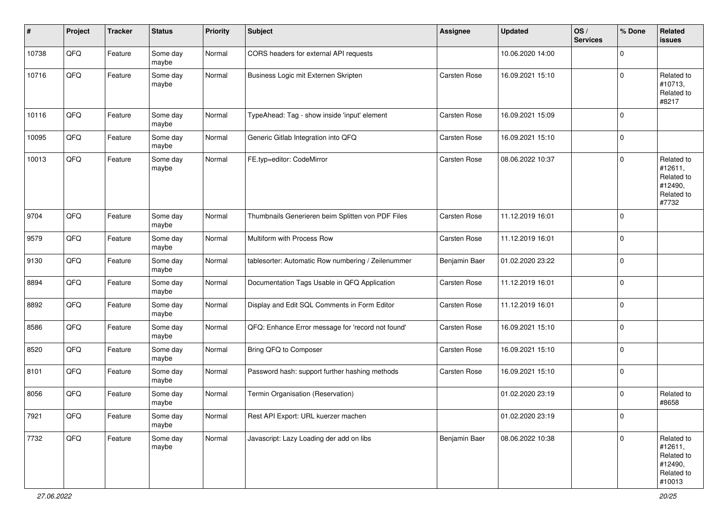| #     | Project | <b>Tracker</b> | <b>Status</b>     | Priority | <b>Subject</b>                                     | Assignee            | <b>Updated</b>   | OS/<br><b>Services</b> | % Done         | Related<br>issues                                                      |
|-------|---------|----------------|-------------------|----------|----------------------------------------------------|---------------------|------------------|------------------------|----------------|------------------------------------------------------------------------|
| 10738 | QFQ     | Feature        | Some day<br>maybe | Normal   | CORS headers for external API requests             |                     | 10.06.2020 14:00 |                        | $\mathbf 0$    |                                                                        |
| 10716 | QFQ     | Feature        | Some day<br>maybe | Normal   | Business Logic mit Externen Skripten               | Carsten Rose        | 16.09.2021 15:10 |                        | $\mathbf 0$    | Related to<br>#10713,<br>Related to<br>#8217                           |
| 10116 | QFQ     | Feature        | Some day<br>maybe | Normal   | TypeAhead: Tag - show inside 'input' element       | Carsten Rose        | 16.09.2021 15:09 |                        | $\mathbf 0$    |                                                                        |
| 10095 | QFQ     | Feature        | Some day<br>maybe | Normal   | Generic Gitlab Integration into QFQ                | <b>Carsten Rose</b> | 16.09.2021 15:10 |                        | $\mathbf 0$    |                                                                        |
| 10013 | QFQ     | Feature        | Some day<br>maybe | Normal   | FE.typ=editor: CodeMirror                          | Carsten Rose        | 08.06.2022 10:37 |                        | $\mathbf 0$    | Related to<br>#12611,<br>Related to<br>#12490,<br>Related to<br>#7732  |
| 9704  | QFQ     | Feature        | Some day<br>maybe | Normal   | Thumbnails Generieren beim Splitten von PDF Files  | Carsten Rose        | 11.12.2019 16:01 |                        | $\mathbf 0$    |                                                                        |
| 9579  | QFQ     | Feature        | Some day<br>maybe | Normal   | Multiform with Process Row                         | Carsten Rose        | 11.12.2019 16:01 |                        | $\mathbf 0$    |                                                                        |
| 9130  | QFQ     | Feature        | Some day<br>maybe | Normal   | tablesorter: Automatic Row numbering / Zeilenummer | Benjamin Baer       | 01.02.2020 23:22 |                        | $\mathbf 0$    |                                                                        |
| 8894  | QFQ     | Feature        | Some day<br>maybe | Normal   | Documentation Tags Usable in QFQ Application       | <b>Carsten Rose</b> | 11.12.2019 16:01 |                        | $\mathbf 0$    |                                                                        |
| 8892  | QFQ     | Feature        | Some day<br>maybe | Normal   | Display and Edit SQL Comments in Form Editor       | Carsten Rose        | 11.12.2019 16:01 |                        | $\mathbf 0$    |                                                                        |
| 8586  | QFQ     | Feature        | Some day<br>maybe | Normal   | QFQ: Enhance Error message for 'record not found'  | Carsten Rose        | 16.09.2021 15:10 |                        | $\mathbf 0$    |                                                                        |
| 8520  | QFO     | Feature        | Some day<br>maybe | Normal   | Bring QFQ to Composer                              | Carsten Rose        | 16.09.2021 15:10 |                        | $\mathbf 0$    |                                                                        |
| 8101  | QFQ     | Feature        | Some day<br>maybe | Normal   | Password hash: support further hashing methods     | Carsten Rose        | 16.09.2021 15:10 |                        | $\mathbf 0$    |                                                                        |
| 8056  | QFQ     | Feature        | Some day<br>maybe | Normal   | Termin Organisation (Reservation)                  |                     | 01.02.2020 23:19 |                        | 0              | Related to<br>#8658                                                    |
| 7921  | QFQ     | Feature        | Some day<br>maybe | Normal   | Rest API Export: URL kuerzer machen                |                     | 01.02.2020 23:19 |                        | $\overline{0}$ |                                                                        |
| 7732  | QFG     | Feature        | Some day<br>maybe | Normal   | Javascript: Lazy Loading der add on libs           | Benjamin Baer       | 08.06.2022 10:38 |                        | $\mathbf 0$    | Related to<br>#12611,<br>Related to<br>#12490,<br>Related to<br>#10013 |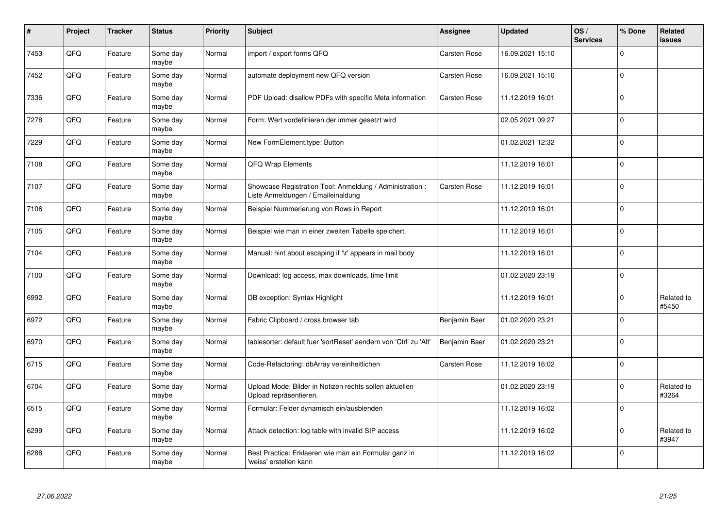| #    | Project | <b>Tracker</b> | <b>Status</b>     | Priority | <b>Subject</b>                                                                                 | Assignee            | <b>Updated</b>   | OS/<br><b>Services</b> | % Done       | Related<br><b>issues</b> |
|------|---------|----------------|-------------------|----------|------------------------------------------------------------------------------------------------|---------------------|------------------|------------------------|--------------|--------------------------|
| 7453 | QFQ     | Feature        | Some day<br>maybe | Normal   | import / export forms QFQ                                                                      | Carsten Rose        | 16.09.2021 15:10 |                        | $\Omega$     |                          |
| 7452 | QFQ     | Feature        | Some day<br>maybe | Normal   | automate deployment new QFQ version                                                            | Carsten Rose        | 16.09.2021 15:10 |                        | $\Omega$     |                          |
| 7336 | QFQ     | Feature        | Some day<br>maybe | Normal   | PDF Upload: disallow PDFs with specific Meta information                                       | <b>Carsten Rose</b> | 11.12.2019 16:01 |                        | $\mathbf 0$  |                          |
| 7278 | QFQ     | Feature        | Some day<br>maybe | Normal   | Form: Wert vordefinieren der immer gesetzt wird                                                |                     | 02.05.2021 09:27 |                        | $\Omega$     |                          |
| 7229 | QFQ     | Feature        | Some day<br>maybe | Normal   | New FormElement.type: Button                                                                   |                     | 01.02.2021 12:32 |                        | $\mathbf{0}$ |                          |
| 7108 | QFQ     | Feature        | Some day<br>maybe | Normal   | QFQ Wrap Elements                                                                              |                     | 11.12.2019 16:01 |                        | $\mathbf 0$  |                          |
| 7107 | QFQ     | Feature        | Some day<br>maybe | Normal   | Showcase Registration Tool: Anmeldung / Administration :<br>Liste Anmeldungen / Emaileinaldung | <b>Carsten Rose</b> | 11.12.2019 16:01 |                        | $\Omega$     |                          |
| 7106 | QFQ     | Feature        | Some day<br>maybe | Normal   | Beispiel Nummerierung von Rows in Report                                                       |                     | 11.12.2019 16:01 |                        | $\Omega$     |                          |
| 7105 | QFQ     | Feature        | Some day<br>maybe | Normal   | Beispiel wie man in einer zweiten Tabelle speichert.                                           |                     | 11.12.2019 16:01 |                        | $\Omega$     |                          |
| 7104 | QFQ     | Feature        | Some day<br>maybe | Normal   | Manual: hint about escaping if '\r' appears in mail body                                       |                     | 11.12.2019 16:01 |                        | $\mathbf 0$  |                          |
| 7100 | QFQ     | Feature        | Some day<br>maybe | Normal   | Download: log access, max downloads, time limit                                                |                     | 01.02.2020 23:19 |                        | $\Omega$     |                          |
| 6992 | QFQ     | Feature        | Some day<br>maybe | Normal   | DB exception: Syntax Highlight                                                                 |                     | 11.12.2019 16:01 |                        | $\Omega$     | Related to<br>#5450      |
| 6972 | QFQ     | Feature        | Some day<br>maybe | Normal   | Fabric Clipboard / cross browser tab                                                           | Benjamin Baer       | 01.02.2020 23:21 |                        | $\mathbf 0$  |                          |
| 6970 | QFQ     | Feature        | Some day<br>maybe | Normal   | tablesorter: default fuer 'sortReset' aendern von 'Ctrl' zu 'Alt'                              | Benjamin Baer       | 01.02.2020 23:21 |                        | $\Omega$     |                          |
| 6715 | QFQ     | Feature        | Some day<br>maybe | Normal   | Code-Refactoring: dbArray vereinheitlichen                                                     | Carsten Rose        | 11.12.2019 16:02 |                        | $\Omega$     |                          |
| 6704 | QFQ     | Feature        | Some day<br>maybe | Normal   | Upload Mode: Bilder in Notizen rechts sollen aktuellen<br>Upload repräsentieren.               |                     | 01.02.2020 23:19 |                        | $\Omega$     | Related to<br>#3264      |
| 6515 | QFQ     | Feature        | Some day<br>maybe | Normal   | Formular: Felder dynamisch ein/ausblenden                                                      |                     | 11.12.2019 16:02 |                        | $\Omega$     |                          |
| 6299 | QFQ     | Feature        | Some day<br>maybe | Normal   | Attack detection: log table with invalid SIP access                                            |                     | 11.12.2019 16:02 |                        | $\Omega$     | Related to<br>#3947      |
| 6288 | QFQ     | Feature        | Some day<br>maybe | Normal   | Best Practice: Erklaeren wie man ein Formular ganz in<br>'weiss' erstellen kann                |                     | 11.12.2019 16:02 |                        | $\Omega$     |                          |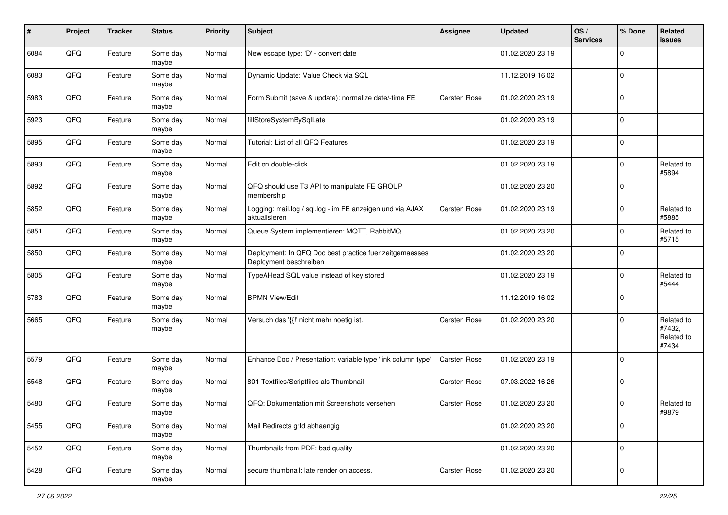| #    | Project | <b>Tracker</b> | <b>Status</b>     | <b>Priority</b> | Subject                                                                           | <b>Assignee</b>     | <b>Updated</b>   | OS/<br><b>Services</b> | % Done      | <b>Related</b><br><b>issues</b>             |
|------|---------|----------------|-------------------|-----------------|-----------------------------------------------------------------------------------|---------------------|------------------|------------------------|-------------|---------------------------------------------|
| 6084 | QFQ     | Feature        | Some day<br>maybe | Normal          | New escape type: 'D' - convert date                                               |                     | 01.02.2020 23:19 |                        | $\Omega$    |                                             |
| 6083 | QFQ     | Feature        | Some day<br>maybe | Normal          | Dynamic Update: Value Check via SQL                                               |                     | 11.12.2019 16:02 |                        | $\mathbf 0$ |                                             |
| 5983 | QFQ     | Feature        | Some day<br>maybe | Normal          | Form Submit (save & update): normalize date/-time FE                              | <b>Carsten Rose</b> | 01.02.2020 23:19 |                        | $\mathbf 0$ |                                             |
| 5923 | QFQ     | Feature        | Some day<br>maybe | Normal          | fillStoreSystemBySqlLate                                                          |                     | 01.02.2020 23:19 |                        | $\mathbf 0$ |                                             |
| 5895 | QFQ     | Feature        | Some day<br>maybe | Normal          | Tutorial: List of all QFQ Features                                                |                     | 01.02.2020 23:19 |                        | $\mathbf 0$ |                                             |
| 5893 | QFQ     | Feature        | Some day<br>maybe | Normal          | Edit on double-click                                                              |                     | 01.02.2020 23:19 |                        | $\mathbf 0$ | Related to<br>#5894                         |
| 5892 | QFQ     | Feature        | Some day<br>maybe | Normal          | QFQ should use T3 API to manipulate FE GROUP<br>membership                        |                     | 01.02.2020 23:20 |                        | $\mathbf 0$ |                                             |
| 5852 | QFQ     | Feature        | Some day<br>maybe | Normal          | Logging: mail.log / sql.log - im FE anzeigen und via AJAX<br>aktualisieren        | Carsten Rose        | 01.02.2020 23:19 |                        | $\mathbf 0$ | Related to<br>#5885                         |
| 5851 | QFQ     | Feature        | Some day<br>maybe | Normal          | Queue System implementieren: MQTT, RabbitMQ                                       |                     | 01.02.2020 23:20 |                        | $\mathbf 0$ | Related to<br>#5715                         |
| 5850 | QFQ     | Feature        | Some day<br>maybe | Normal          | Deployment: In QFQ Doc best practice fuer zeitgemaesses<br>Deployment beschreiben |                     | 01.02.2020 23:20 |                        | $\mathbf 0$ |                                             |
| 5805 | QFQ     | Feature        | Some day<br>maybe | Normal          | TypeAHead SQL value instead of key stored                                         |                     | 01.02.2020 23:19 |                        | $\mathbf 0$ | Related to<br>#5444                         |
| 5783 | QFQ     | Feature        | Some day<br>maybe | Normal          | <b>BPMN View/Edit</b>                                                             |                     | 11.12.2019 16:02 |                        | $\mathbf 0$ |                                             |
| 5665 | QFQ     | Feature        | Some day<br>maybe | Normal          | Versuch das '{{!' nicht mehr noetig ist.                                          | Carsten Rose        | 01.02.2020 23:20 |                        | $\mathbf 0$ | Related to<br>#7432,<br>Related to<br>#7434 |
| 5579 | QFQ     | Feature        | Some day<br>maybe | Normal          | Enhance Doc / Presentation: variable type 'link column type'                      | Carsten Rose        | 01.02.2020 23:19 |                        | $\Omega$    |                                             |
| 5548 | QFQ     | Feature        | Some day<br>maybe | Normal          | 801 Textfiles/Scriptfiles als Thumbnail                                           | Carsten Rose        | 07.03.2022 16:26 |                        | $\mathbf 0$ |                                             |
| 5480 | QFQ     | Feature        | Some day<br>maybe | Normal          | QFQ: Dokumentation mit Screenshots versehen                                       | Carsten Rose        | 01.02.2020 23:20 |                        | $\mathbf 0$ | Related to<br>#9879                         |
| 5455 | QFQ     | Feature        | Some day<br>maybe | Normal          | Mail Redirects grld abhaengig                                                     |                     | 01.02.2020 23:20 |                        | $\mathbf 0$ |                                             |
| 5452 | QFQ     | Feature        | Some day<br>maybe | Normal          | Thumbnails from PDF: bad quality                                                  |                     | 01.02.2020 23:20 |                        | $\mathbf 0$ |                                             |
| 5428 | QFQ     | Feature        | Some day<br>maybe | Normal          | secure thumbnail: late render on access.                                          | Carsten Rose        | 01.02.2020 23:20 |                        | $\mathbf 0$ |                                             |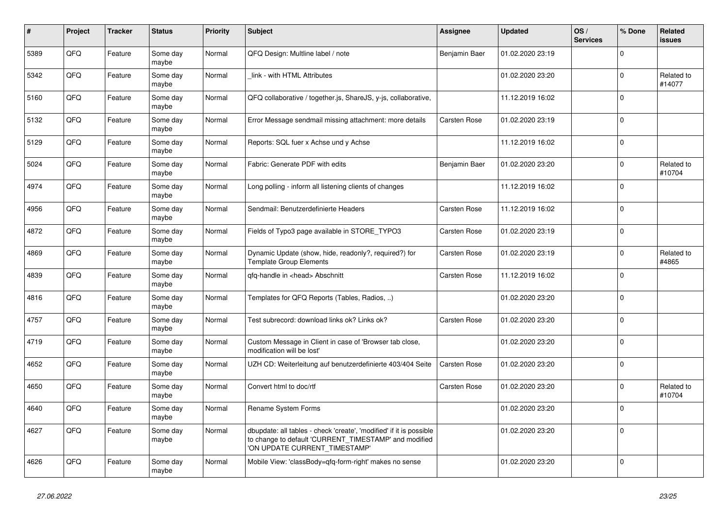| #    | Project | <b>Tracker</b> | <b>Status</b>     | <b>Priority</b> | <b>Subject</b>                                                                                                                                                | <b>Assignee</b>     | <b>Updated</b>   | OS/<br><b>Services</b> | % Done      | Related<br><b>issues</b> |
|------|---------|----------------|-------------------|-----------------|---------------------------------------------------------------------------------------------------------------------------------------------------------------|---------------------|------------------|------------------------|-------------|--------------------------|
| 5389 | QFQ     | Feature        | Some day<br>maybe | Normal          | QFQ Design: Multline label / note                                                                                                                             | Benjamin Baer       | 01.02.2020 23:19 |                        | $\Omega$    |                          |
| 5342 | QFQ     | Feature        | Some day<br>maybe | Normal          | link - with HTML Attributes                                                                                                                                   |                     | 01.02.2020 23:20 |                        | $\mathbf 0$ | Related to<br>#14077     |
| 5160 | QFQ     | Feature        | Some day<br>maybe | Normal          | QFQ collaborative / together.js, ShareJS, y-js, collaborative,                                                                                                |                     | 11.12.2019 16:02 |                        | $\mathbf 0$ |                          |
| 5132 | QFQ     | Feature        | Some day<br>maybe | Normal          | Error Message sendmail missing attachment: more details                                                                                                       | <b>Carsten Rose</b> | 01.02.2020 23:19 |                        | $\Omega$    |                          |
| 5129 | QFQ     | Feature        | Some day<br>maybe | Normal          | Reports: SQL fuer x Achse und y Achse                                                                                                                         |                     | 11.12.2019 16:02 |                        | $\mathbf 0$ |                          |
| 5024 | QFQ     | Feature        | Some day<br>maybe | Normal          | Fabric: Generate PDF with edits                                                                                                                               | Benjamin Baer       | 01.02.2020 23:20 |                        | $\mathbf 0$ | Related to<br>#10704     |
| 4974 | QFQ     | Feature        | Some day<br>maybe | Normal          | Long polling - inform all listening clients of changes                                                                                                        |                     | 11.12.2019 16:02 |                        | $\Omega$    |                          |
| 4956 | QFQ     | Feature        | Some day<br>maybe | Normal          | Sendmail: Benutzerdefinierte Headers                                                                                                                          | <b>Carsten Rose</b> | 11.12.2019 16:02 |                        | $\pmb{0}$   |                          |
| 4872 | QFQ     | Feature        | Some day<br>maybe | Normal          | Fields of Typo3 page available in STORE_TYPO3                                                                                                                 | Carsten Rose        | 01.02.2020 23:19 |                        | $\Omega$    |                          |
| 4869 | QFQ     | Feature        | Some day<br>maybe | Normal          | Dynamic Update (show, hide, readonly?, required?) for<br><b>Template Group Elements</b>                                                                       | <b>Carsten Rose</b> | 01.02.2020 23:19 |                        | $\Omega$    | Related to<br>#4865      |
| 4839 | QFQ     | Feature        | Some day<br>maybe | Normal          | qfq-handle in <head> Abschnitt</head>                                                                                                                         | Carsten Rose        | 11.12.2019 16:02 |                        | $\mathbf 0$ |                          |
| 4816 | QFQ     | Feature        | Some day<br>maybe | Normal          | Templates for QFQ Reports (Tables, Radios, )                                                                                                                  |                     | 01.02.2020 23:20 |                        | $\Omega$    |                          |
| 4757 | QFQ     | Feature        | Some day<br>maybe | Normal          | Test subrecord: download links ok? Links ok?                                                                                                                  | Carsten Rose        | 01.02.2020 23:20 |                        | $\Omega$    |                          |
| 4719 | QFQ     | Feature        | Some day<br>maybe | Normal          | Custom Message in Client in case of 'Browser tab close,<br>modification will be lost'                                                                         |                     | 01.02.2020 23:20 |                        | $\Omega$    |                          |
| 4652 | QFQ     | Feature        | Some day<br>maybe | Normal          | UZH CD: Weiterleitung auf benutzerdefinierte 403/404 Seite                                                                                                    | <b>Carsten Rose</b> | 01.02.2020 23:20 |                        | $\mathbf 0$ |                          |
| 4650 | QFQ     | Feature        | Some day<br>maybe | Normal          | Convert html to doc/rtf                                                                                                                                       | Carsten Rose        | 01.02.2020 23:20 |                        | $\mathbf 0$ | Related to<br>#10704     |
| 4640 | QFQ     | Feature        | Some day<br>maybe | Normal          | Rename System Forms                                                                                                                                           |                     | 01.02.2020 23:20 |                        | $\mathbf 0$ |                          |
| 4627 | QFQ     | Feature        | Some day<br>maybe | Normal          | dbupdate: all tables - check 'create', 'modified' if it is possible<br>to change to default 'CURRENT_TIMESTAMP' and modified<br>'ON UPDATE CURRENT_TIMESTAMP' |                     | 01.02.2020 23:20 |                        | 0           |                          |
| 4626 | QFQ     | Feature        | Some day<br>maybe | Normal          | Mobile View: 'classBody=qfq-form-right' makes no sense                                                                                                        |                     | 01.02.2020 23:20 |                        | $\Omega$    |                          |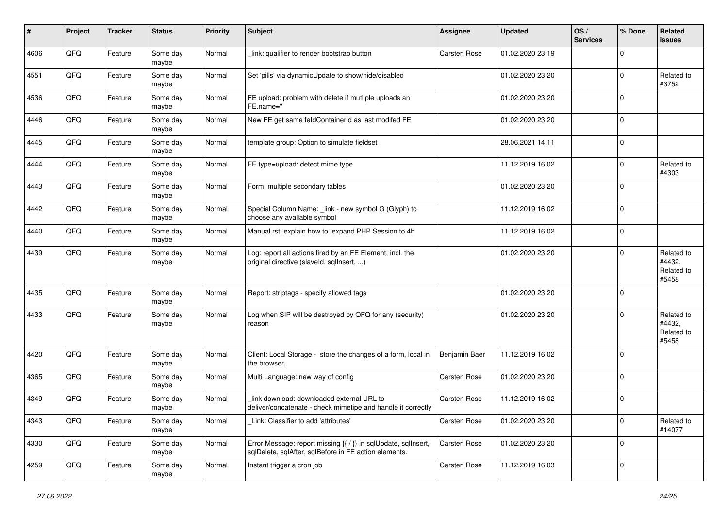| #    | Project | <b>Tracker</b> | <b>Status</b>     | <b>Priority</b> | <b>Subject</b>                                                                                                          | <b>Assignee</b> | <b>Updated</b>   | OS/<br><b>Services</b> | % Done      | <b>Related</b><br><b>issues</b>             |
|------|---------|----------------|-------------------|-----------------|-------------------------------------------------------------------------------------------------------------------------|-----------------|------------------|------------------------|-------------|---------------------------------------------|
| 4606 | QFQ     | Feature        | Some day<br>maybe | Normal          | link: qualifier to render bootstrap button                                                                              | Carsten Rose    | 01.02.2020 23:19 |                        | $\mathbf 0$ |                                             |
| 4551 | QFQ     | Feature        | Some day<br>maybe | Normal          | Set 'pills' via dynamicUpdate to show/hide/disabled                                                                     |                 | 01.02.2020 23:20 |                        | $\mathbf 0$ | Related to<br>#3752                         |
| 4536 | QFQ     | Feature        | Some day<br>maybe | Normal          | FE upload: problem with delete if mutliple uploads an<br>FE.name="                                                      |                 | 01.02.2020 23:20 |                        | $\mathbf 0$ |                                             |
| 4446 | QFQ     | Feature        | Some day<br>maybe | Normal          | New FE get same feldContainerId as last modifed FE                                                                      |                 | 01.02.2020 23:20 |                        | $\mathbf 0$ |                                             |
| 4445 | QFQ     | Feature        | Some day<br>maybe | Normal          | template group: Option to simulate fieldset                                                                             |                 | 28.06.2021 14:11 |                        | $\mathbf 0$ |                                             |
| 4444 | QFQ     | Feature        | Some day<br>maybe | Normal          | FE.type=upload: detect mime type                                                                                        |                 | 11.12.2019 16:02 |                        | $\mathbf 0$ | Related to<br>#4303                         |
| 4443 | QFQ     | Feature        | Some day<br>maybe | Normal          | Form: multiple secondary tables                                                                                         |                 | 01.02.2020 23:20 |                        | $\mathbf 0$ |                                             |
| 4442 | QFQ     | Feature        | Some day<br>maybe | Normal          | Special Column Name: _link - new symbol G (Glyph) to<br>choose any available symbol                                     |                 | 11.12.2019 16:02 |                        | $\mathbf 0$ |                                             |
| 4440 | QFQ     | Feature        | Some day<br>maybe | Normal          | Manual.rst: explain how to. expand PHP Session to 4h                                                                    |                 | 11.12.2019 16:02 |                        | $\mathbf 0$ |                                             |
| 4439 | QFQ     | Feature        | Some day<br>maybe | Normal          | Log: report all actions fired by an FE Element, incl. the<br>original directive (slaveld, sqllnsert, )                  |                 | 01.02.2020 23:20 |                        | $\mathbf 0$ | Related to<br>#4432,<br>Related to<br>#5458 |
| 4435 | QFQ     | Feature        | Some day<br>maybe | Normal          | Report: striptags - specify allowed tags                                                                                |                 | 01.02.2020 23:20 |                        | $\mathbf 0$ |                                             |
| 4433 | QFQ     | Feature        | Some day<br>maybe | Normal          | Log when SIP will be destroyed by QFQ for any (security)<br>reason                                                      |                 | 01.02.2020 23:20 |                        | $\mathbf 0$ | Related to<br>#4432,<br>Related to<br>#5458 |
| 4420 | QFQ     | Feature        | Some day<br>maybe | Normal          | Client: Local Storage - store the changes of a form, local in<br>the browser.                                           | Benjamin Baer   | 11.12.2019 16:02 |                        | $\mathbf 0$ |                                             |
| 4365 | QFQ     | Feature        | Some day<br>maybe | Normal          | Multi Language: new way of config                                                                                       | Carsten Rose    | 01.02.2020 23:20 |                        | $\mathbf 0$ |                                             |
| 4349 | QFQ     | Feature        | Some day<br>maybe | Normal          | link download: downloaded external URL to<br>deliver/concatenate - check mimetipe and handle it correctly               | Carsten Rose    | 11.12.2019 16:02 |                        | $\mathbf 0$ |                                             |
| 4343 | QFG     | Feature        | Some day<br>maybe | Normal          | Link: Classifier to add 'attributes'                                                                                    | Carsten Rose    | 01.02.2020 23:20 |                        | $\mathbf 0$ | Related to<br>#14077                        |
| 4330 | QFO     | Feature        | Some day<br>maybe | Normal          | Error Message: report missing {{ / }} in sqlUpdate, sqlInsert,<br>sglDelete, sglAfter, sglBefore in FE action elements. | Carsten Rose    | 01.02.2020 23:20 |                        | $\mathbf 0$ |                                             |
| 4259 | QFQ     | Feature        | Some day<br>maybe | Normal          | Instant trigger a cron job                                                                                              | Carsten Rose    | 11.12.2019 16:03 |                        | $\mathbf 0$ |                                             |